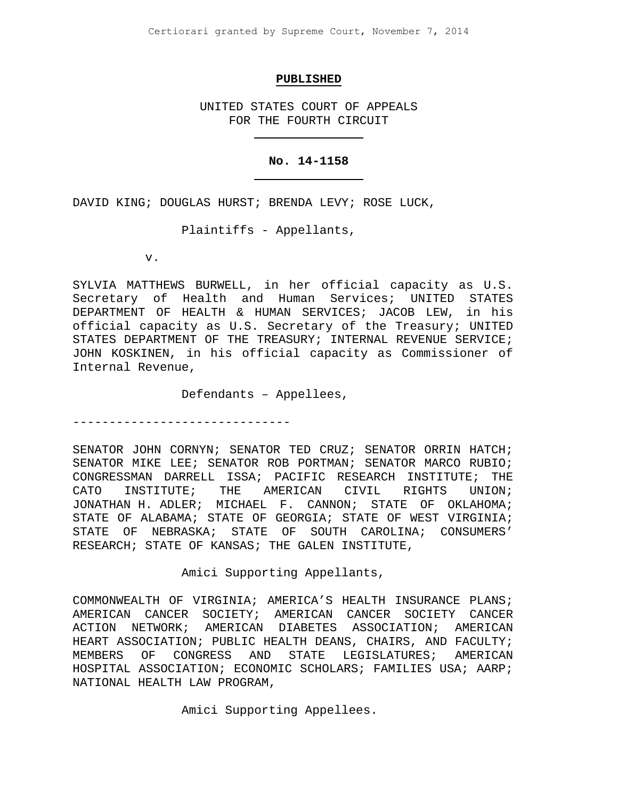#### **PUBLISHED**

UNITED STATES COURT OF APPEALS FOR THE FOURTH CIRCUIT

# **No. 14-1158**

DAVID KING; DOUGLAS HURST; BRENDA LEVY; ROSE LUCK,

Plaintiffs - Appellants,

v.

SYLVIA MATTHEWS BURWELL, in her official capacity as U.S. Secretary of Health and Human Services; UNITED STATES DEPARTMENT OF HEALTH & HUMAN SERVICES; JACOB LEW, in his official capacity as U.S. Secretary of the Treasury; UNITED STATES DEPARTMENT OF THE TREASURY; INTERNAL REVENUE SERVICE; JOHN KOSKINEN, in his official capacity as Commissioner of Internal Revenue,

Defendants – Appellees,

------------------------------

SENATOR JOHN CORNYN; SENATOR TED CRUZ; SENATOR ORRIN HATCH; SENATOR MIKE LEE; SENATOR ROB PORTMAN; SENATOR MARCO RUBIO; CONGRESSMAN DARRELL ISSA; PACIFIC RESEARCH INSTITUTE; THE CATO INSTITUTE; THE AMERICAN CIVIL RIGHTS UNION; JONATHAN H. ADLER; MICHAEL F. CANNON; STATE OF OKLAHOMA; STATE OF ALABAMA; STATE OF GEORGIA; STATE OF WEST VIRGINIA; STATE OF NEBRASKA; STATE OF SOUTH CAROLINA; CONSUMERS' RESEARCH; STATE OF KANSAS; THE GALEN INSTITUTE,

Amici Supporting Appellants,

COMMONWEALTH OF VIRGINIA; AMERICA'S HEALTH INSURANCE PLANS; AMERICAN CANCER SOCIETY; AMERICAN CANCER SOCIETY CANCER<br>ACTION NETWORK; AMERICAN DIABETES ASSOCIATION; AMERICAN AMERICAN DIABETES ASSOCIATION; AMERICAN HEART ASSOCIATION; PUBLIC HEALTH DEANS, CHAIRS, AND FACULTY;<br>MEMBERS OF CONGRESS AND STATE LEGISLATURES; AMERICAN MEMBERS OF CONGRESS AND STATE LEGISLATURES; AMERICAN HOSPITAL ASSOCIATION; ECONOMIC SCHOLARS; FAMILIES USA; AARP; NATIONAL HEALTH LAW PROGRAM,

Amici Supporting Appellees.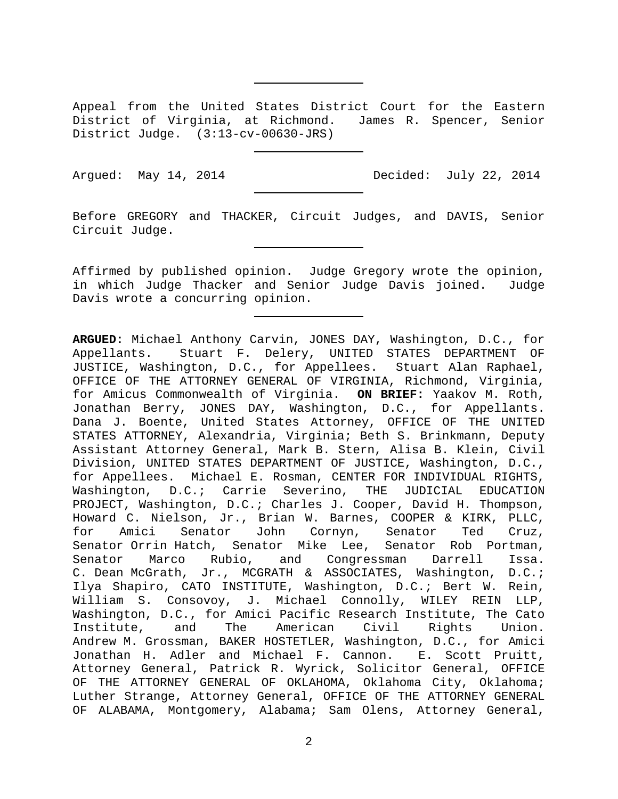Appeal from the United States District Court for the Eastern District of Virginia, at Richmond. James R. Spencer, Senior District Judge. (3:13-cv-00630-JRS)

Argued: May 14, 2014 Decided: July 22, 2014

Before GREGORY and THACKER, Circuit Judges, and DAVIS, Senior Circuit Judge.

Affirmed by published opinion. Judge Gregory wrote the opinion, in which Judge Thacker and Senior Judge Davis joined. Judge Davis wrote a concurring opinion.

**ARGUED:** Michael Anthony Carvin, JONES DAY, Washington, D.C., for Appellants. Stuart F. Delery, UNITED STATES DEPARTMENT OF JUSTICE, Washington, D.C., for Appellees. Stuart Alan Raphael, OFFICE OF THE ATTORNEY GENERAL OF VIRGINIA, Richmond, Virginia, for Amicus Commonwealth of Virginia. **ON BRIEF:** Yaakov M. Roth, Jonathan Berry, JONES DAY, Washington, D.C., for Appellants. Dana J. Boente, United States Attorney, OFFICE OF THE UNITED STATES ATTORNEY, Alexandria, Virginia; Beth S. Brinkmann, Deputy Assistant Attorney General, Mark B. Stern, Alisa B. Klein, Civil Division, UNITED STATES DEPARTMENT OF JUSTICE, Washington, D.C., for Appellees. Michael E. Rosman, CENTER FOR INDIVIDUAL RIGHTS,<br>Washington, D.C.; Carrie Severino, THE JUDICIAL EDUCATION Washington, D.C.; Carrie Severino, PROJECT, Washington, D.C.; Charles J. Cooper, David H. Thompson, Howard C. Nielson, Jr., Brian W. Barnes, COOPER & KIRK, PLLC, for Amici Senator John Cornyn, Senator Ted Cruz, Senator Orrin Hatch, Senator Mike Lee, Senator Rob Portman,<br>Senator Marco Rubio, and Congressman Darrell Issa. Congressman Darrell Issa. C. Dean McGrath, Jr., MCGRATH & ASSOCIATES, Washington, D.C.; Ilya Shapiro, CATO INSTITUTE, Washington, D.C.; Bert W. Rein, William S. Consovoy, J. Michael Connolly, WILEY REIN LLP, Washington, D.C., for Amici Pacific Research Institute, The Cato<br>Institute, and The American Civil Rights Union. Institute, and The American Civil Rights Union. Andrew M. Grossman, BAKER HOSTETLER, Washington, D.C., for Amici<br>Jonathan H. Adler and Michael F. Cannon. E. Scott Pruitt, Jonathan H. Adler and Michael F. Cannon. Attorney General, Patrick R. Wyrick, Solicitor General, OFFICE OF THE ATTORNEY GENERAL OF OKLAHOMA, Oklahoma City, Oklahoma; Luther Strange, Attorney General, OFFICE OF THE ATTORNEY GENERAL OF ALABAMA, Montgomery, Alabama; Sam Olens, Attorney General,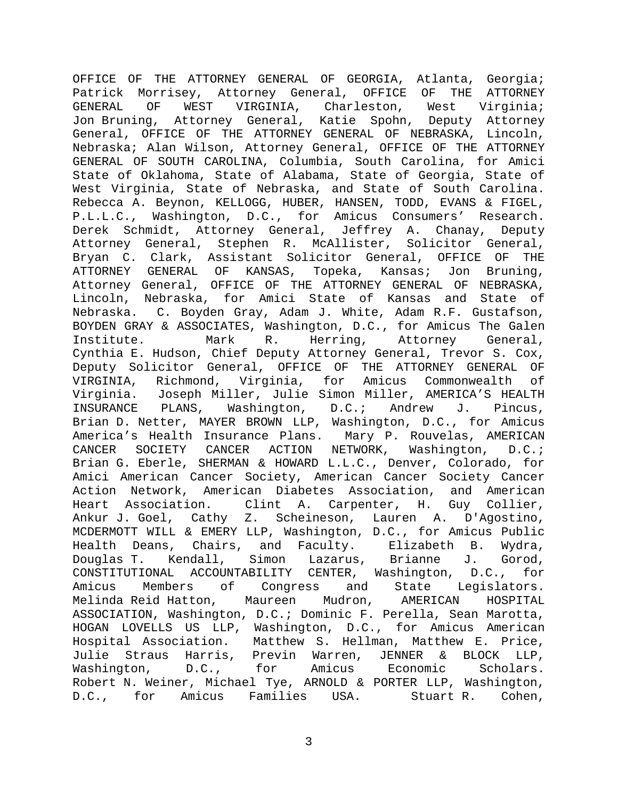OFFICE OF THE ATTORNEY GENERAL OF GEORGIA, Atlanta, Georgia; Patrick Morrisey, Attorney General, OFFICE OF THE ATTORNEY<br>GENERAL OF WEST VIRGINIA, Charleston, West Virginia; Charleston, Jon Bruning, Attorney General, Katie Spohn, Deputy Attorney General, OFFICE OF THE ATTORNEY GENERAL OF NEBRASKA, Lincoln, Nebraska; Alan Wilson, Attorney General, OFFICE OF THE ATTORNEY GENERAL OF SOUTH CAROLINA, Columbia, South Carolina, for Amici State of Oklahoma, State of Alabama, State of Georgia, State of West Virginia, State of Nebraska, and State of South Carolina. Rebecca A. Beynon, KELLOGG, HUBER, HANSEN, TODD, EVANS & FIGEL, P.L.L.C., Washington, D.C., for Amicus Consumers' Research. Derek Schmidt, Attorney General, Jeffrey A. Chanay, Deputy Attorney General, Stephen R. McAllister, Solicitor General, Bryan C. Clark, Assistant Solicitor General, OFFICE OF THE<br>ATTORNEY GENERAL OF KANSAS, Topeka, Kansas; Jon Bruning, ATTORNEY GENERAL OF KANSAS, Topeka, Kansas; Jon Bruning, Attorney General, OFFICE OF THE ATTORNEY GENERAL OF NEBRASKA, Lincoln, Nebraska, for Amici State of Kansas and State of Nebraska. C. Boyden Gray, Adam J. White, Adam R.F. Gustafson, BOYDEN GRAY & ASSOCIATES, Washington, D.C., for Amicus The Galen<br>Institute. Mark R. Herring, Attorney General, Herring, Attorney General, Cynthia E. Hudson, Chief Deputy Attorney General, Trevor S. Cox, Deputy Solicitor General, OFFICE OF THE ATTORNEY GENERAL OF VIRGINIA, Richmond, Virginia, for Amicus Commonwealth of Virginia. Joseph Miller, Julie Simon Miller, AMERICA'S HEALTH INSURANCE PLANS, Washington, D.C.; Andrew J. Pincus, Brian D. Netter, MAYER BROWN LLP, Washington, D.C., for Amicus America's Health Insurance Plans. Mary P. Rouvelas, AMERICAN<br>CANCER SOCIETY CANCER ACTION NETWORK, Washington, D.C.; SOCIETY CANCER ACTION NETWORK, Washington, D.C.; Brian G. Eberle, SHERMAN & HOWARD L.L.C., Denver, Colorado, for Amici American Cancer Society, American Cancer Society Cancer Action Network, American Diabetes Association, and American<br>Heart Association. Clint A. Carpenter, H. Guy Collier, Clint A. Carpenter, H. Guy Collier,<br>7 Z. Scheineson, Lauren A. D'Agostino, Ankur J. Goel, Cathy Z. Scheineson, Lauren A. MCDERMOTT WILL & EMERY LLP, Washington, D.C., for Amicus Public<br>Health Deans, Chairs, and Faculty. Elizabeth B. Wydra, Health Deans, Chairs, and Faculty. Elizabeth B. Wydra, Douglas T. CONSTITUTIONAL ACCOUNTABILITY CENTER, Washington, D.C., for Amicus Members of Congress and State Legislators. Melinda Reid Hatton, Maureen Mudron, AMERICAN HOSPITAL ASSOCIATION, Washington, D.C.; Dominic F. Perella, Sean Marotta, HOGAN LOVELLS US LLP, Washington, D.C., for Amicus American Hospital Association. Matthew S. Hellman, Matthew E. Price,<br>Julie Straus Harris, Previn Warren, JENNER & BLOCK LLP, Julie Straus Harris, Previn Warren, JENNER &<br>Washington, D.C., for Amicus Economic Washington, D.C., for Amicus Economic Scholars. Robert N. Weiner, Michael Tye, ARNOLD & PORTER LLP, Washington,<br>D.C., for Amicus Families USA. Stuart R. Cohen, D.C., for Amicus Families USA.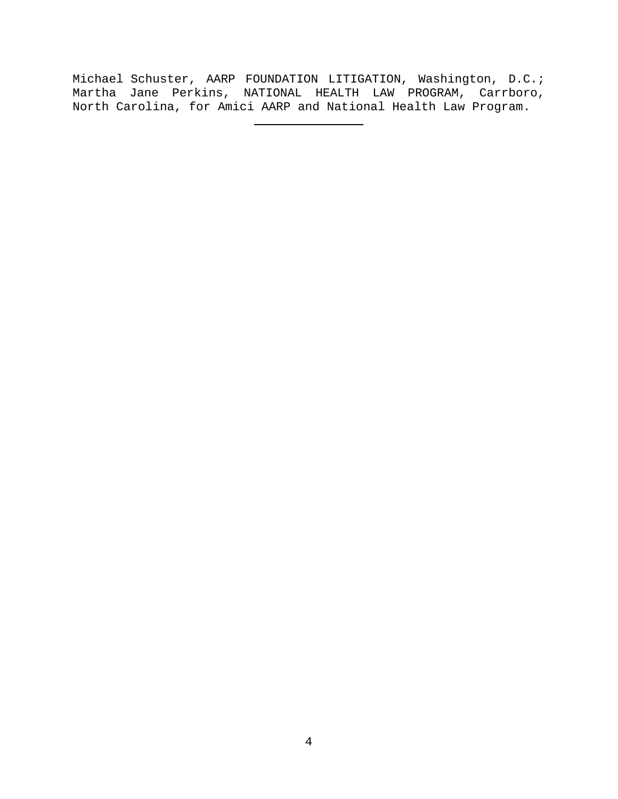Michael Schuster, AARP FOUNDATION LITIGATION, Washington, D.C.; Martha Jane Perkins, NATIONAL HEALTH LAW PROGRAM, Carrboro, North Carolina, for Amici AARP and National Health Law Program.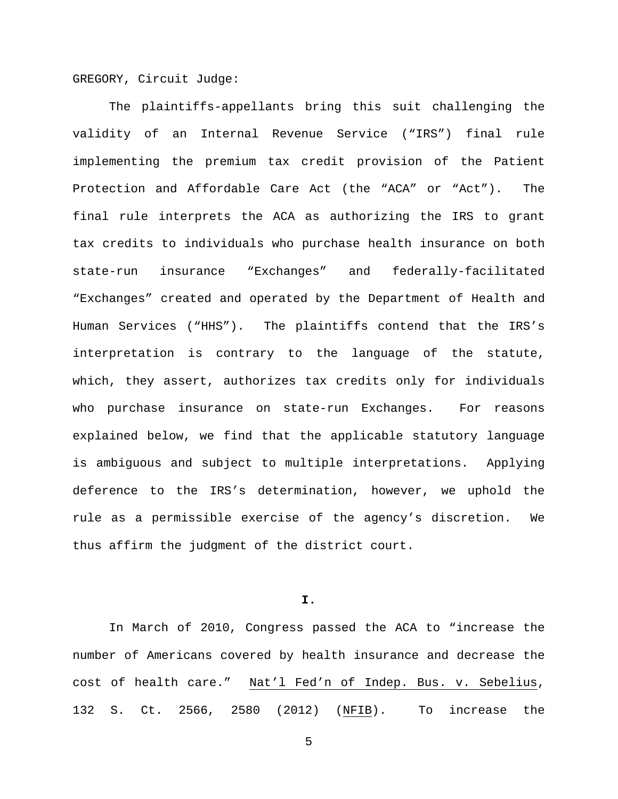GREGORY, Circuit Judge:

The plaintiffs-appellants bring this suit challenging the validity of an Internal Revenue Service ("IRS") final rule implementing the premium tax credit provision of the Patient Protection and Affordable Care Act (the "ACA" or "Act"). The final rule interprets the ACA as authorizing the IRS to grant tax credits to individuals who purchase health insurance on both state-run insurance "Exchanges" and federally-facilitated "Exchanges" created and operated by the Department of Health and Human Services ("HHS"). The plaintiffs contend that the IRS's interpretation is contrary to the language of the statute, which, they assert, authorizes tax credits only for individuals who purchase insurance on state-run Exchanges. For reasons explained below, we find that the applicable statutory language is ambiguous and subject to multiple interpretations. Applying deference to the IRS's determination, however, we uphold the rule as a permissible exercise of the agency's discretion. We thus affirm the judgment of the district court.

**I.**

In March of 2010, Congress passed the ACA to "increase the number of Americans covered by health insurance and decrease the cost of health care." Nat'l Fed'n of Indep. Bus. v. Sebelius, 132 S. Ct. 2566, 2580 (2012) (NFIB). To increase the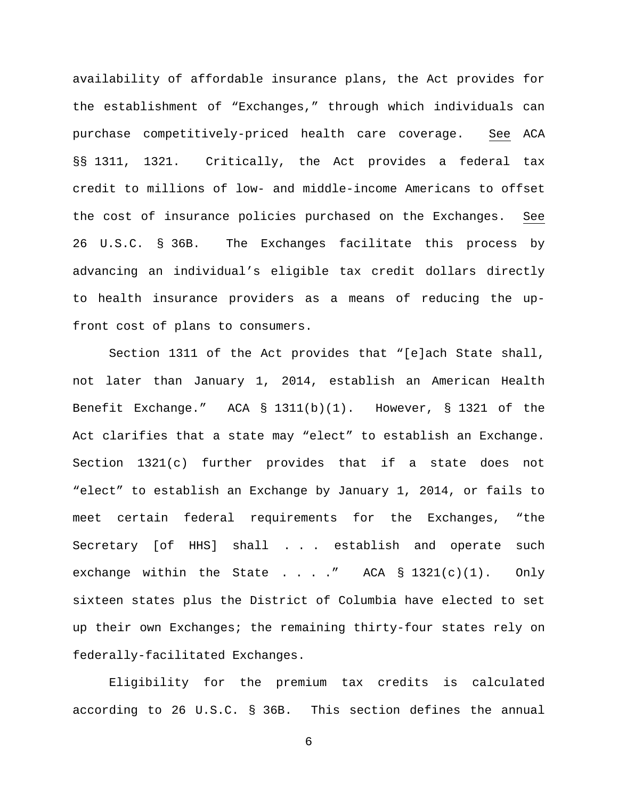availability of affordable insurance plans, the Act provides for the establishment of "Exchanges," through which individuals can purchase competitively-priced health care coverage. See ACA §§ 1311, 1321. Critically, the Act provides a federal tax credit to millions of low- and middle-income Americans to offset the cost of insurance policies purchased on the Exchanges. See 26 U.S.C. § 36B. The Exchanges facilitate this process by advancing an individual's eligible tax credit dollars directly to health insurance providers as a means of reducing the upfront cost of plans to consumers.

Section 1311 of the Act provides that "[e]ach State shall, not later than January 1, 2014, establish an American Health Benefit Exchange." ACA § 1311(b)(1). However, § 1321 of the Act clarifies that a state may "elect" to establish an Exchange. Section 1321(c) further provides that if a state does not "elect" to establish an Exchange by January 1, 2014, or fails to meet certain federal requirements for the Exchanges, "the Secretary [of HHS] shall . . . establish and operate such exchange within the State . . . . " ACA  $\S$  1321(c)(1). Only sixteen states plus the District of Columbia have elected to set up their own Exchanges; the remaining thirty-four states rely on federally-facilitated Exchanges.

Eligibility for the premium tax credits is calculated according to 26 U.S.C. § 36B. This section defines the annual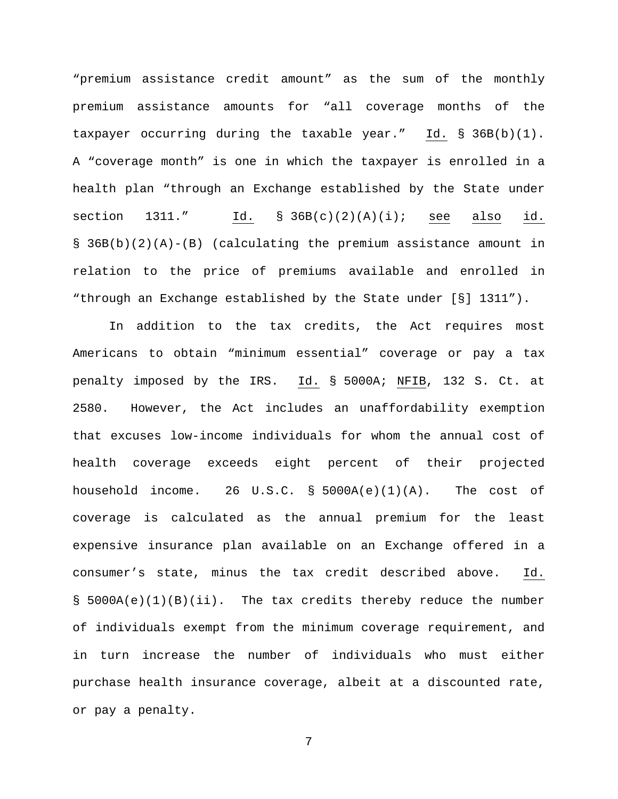"premium assistance credit amount" as the sum of the monthly premium assistance amounts for "all coverage months of the taxpayer occurring during the taxable year." Id. § 36B(b)(1). A "coverage month" is one in which the taxpayer is enrolled in a health plan "through an Exchange established by the State under section  $1311."$  Id.  $§ 36B(c)(2)(A)(i);$  see also id.  $\S$  36B(b)(2)(A)-(B) (calculating the premium assistance amount in relation to the price of premiums available and enrolled in "through an Exchange established by the State under [§] 1311").

In addition to the tax credits, the Act requires most Americans to obtain "minimum essential" coverage or pay a tax penalty imposed by the IRS. Id. § 5000A; NFIB, 132 S. Ct. at 2580. However, the Act includes an unaffordability exemption that excuses low-income individuals for whom the annual cost of health coverage exceeds eight percent of their projected household income. 26 U.S.C.  $\S$  5000A(e)(1)(A). The cost of coverage is calculated as the annual premium for the least expensive insurance plan available on an Exchange offered in a consumer's state, minus the tax credit described above. Id.  $\S$  5000A(e)(1)(B)(ii). The tax credits thereby reduce the number of individuals exempt from the minimum coverage requirement, and in turn increase the number of individuals who must either purchase health insurance coverage, albeit at a discounted rate, or pay a penalty.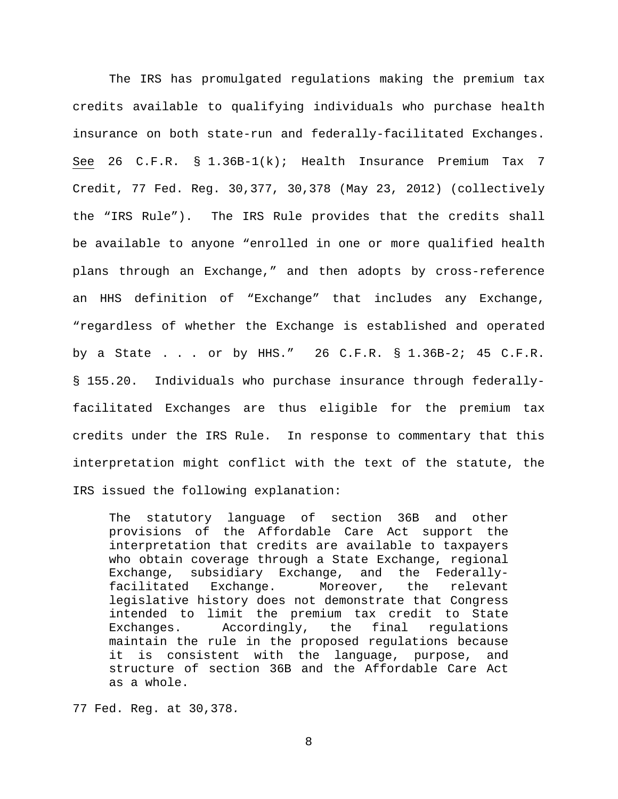The IRS has promulgated regulations making the premium tax credits available to qualifying individuals who purchase health insurance on both state-run and federally-facilitated Exchanges. See 26 C.F.R. § 1.36B-1(k); Health Insurance Premium Tax 7 Credit, 77 Fed. Reg. 30,377, 30,378 (May 23, 2012) (collectively the "IRS Rule"). The IRS Rule provides that the credits shall be available to anyone "enrolled in one or more qualified health plans through an Exchange," and then adopts by cross-reference an HHS definition of "Exchange" that includes any Exchange, "regardless of whether the Exchange is established and operated by a State . . . or by HHS." 26 C.F.R. § 1.36B-2; 45 C.F.R. § 155.20. Individuals who purchase insurance through federallyfacilitated Exchanges are thus eligible for the premium tax credits under the IRS Rule. In response to commentary that this interpretation might conflict with the text of the statute, the IRS issued the following explanation:

The statutory language of section 36B and other provisions of the Affordable Care Act support the interpretation that credits are available to taxpayers who obtain coverage through a State Exchange, regional Exchange, subsidiary Exchange, and the Federallyfacilitated Exchange. Moreover, the relevant legislative history does not demonstrate that Congress intended to limit the premium tax credit to State Exchanges. Accordingly, the final regulations maintain the rule in the proposed regulations because it is consistent with the language, purpose, and structure of section 36B and the Affordable Care Act as a whole.

77 Fed. Reg. at 30,378*.*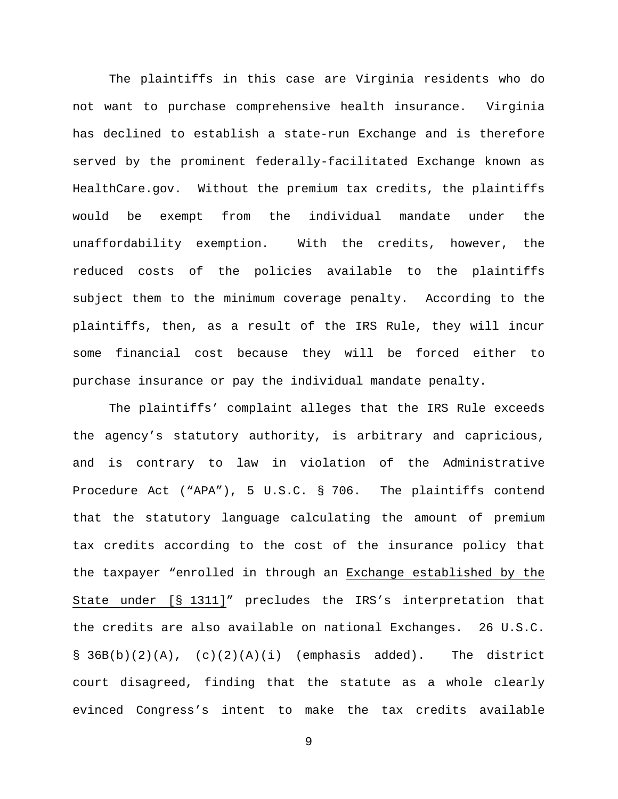The plaintiffs in this case are Virginia residents who do not want to purchase comprehensive health insurance. Virginia has declined to establish a state-run Exchange and is therefore served by the prominent federally-facilitated Exchange known as HealthCare.gov. Without the premium tax credits, the plaintiffs would be exempt from the individual mandate under the unaffordability exemption. With the credits, however, the reduced costs of the policies available to the plaintiffs subject them to the minimum coverage penalty. According to the plaintiffs, then, as a result of the IRS Rule, they will incur some financial cost because they will be forced either to purchase insurance or pay the individual mandate penalty.

The plaintiffs' complaint alleges that the IRS Rule exceeds the agency's statutory authority, is arbitrary and capricious, and is contrary to law in violation of the Administrative Procedure Act ("APA"), 5 U.S.C. § 706. The plaintiffs contend that the statutory language calculating the amount of premium tax credits according to the cost of the insurance policy that the taxpayer "enrolled in through an Exchange established by the State under [§ 1311]" precludes the IRS's interpretation that the credits are also available on national Exchanges. 26 U.S.C.  $\S$  36B(b)(2)(A), (c)(2)(A)(i) (emphasis added). The district court disagreed, finding that the statute as a whole clearly evinced Congress's intent to make the tax credits available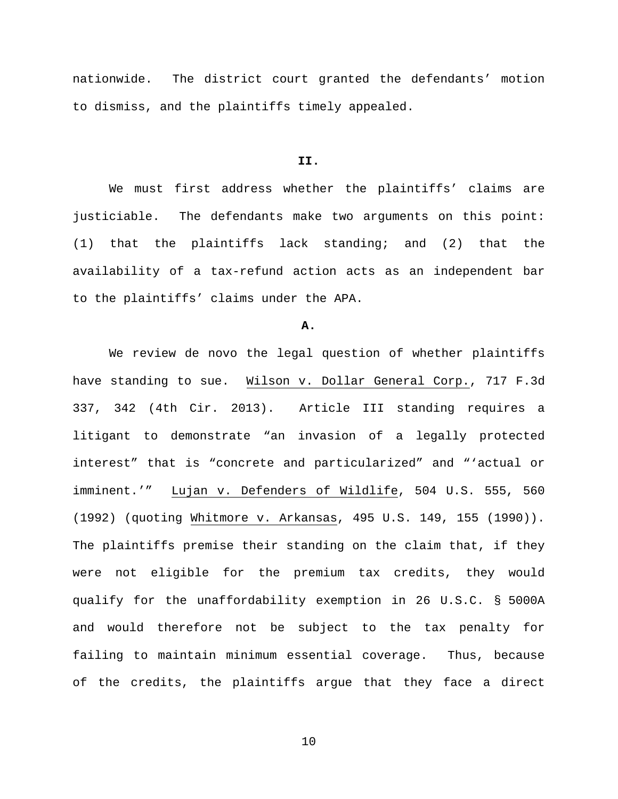nationwide. The district court granted the defendants' motion to dismiss, and the plaintiffs timely appealed.

### **II.**

We must first address whether the plaintiffs' claims are justiciable. The defendants make two arguments on this point: (1) that the plaintiffs lack standing; and (2) that the availability of a tax-refund action acts as an independent bar to the plaintiffs' claims under the APA.

# **A.**

We review de novo the legal question of whether plaintiffs have standing to sue. Wilson v. Dollar General Corp., 717 F.3d 337, 342 (4th Cir. 2013). Article III standing requires a litigant to demonstrate "an invasion of a legally protected interest" that is "concrete and particularized" and "'actual or imminent.'" Lujan v. Defenders of Wildlife, 504 U.S. 555, 560 (1992) (quoting Whitmore v. Arkansas, 495 U.S. 149, 155 (1990)). The plaintiffs premise their standing on the claim that, if they were not eligible for the premium tax credits, they would qualify for the unaffordability exemption in 26 U.S.C. § 5000A and would therefore not be subject to the tax penalty for failing to maintain minimum essential coverage. Thus, because of the credits, the plaintiffs argue that they face a direct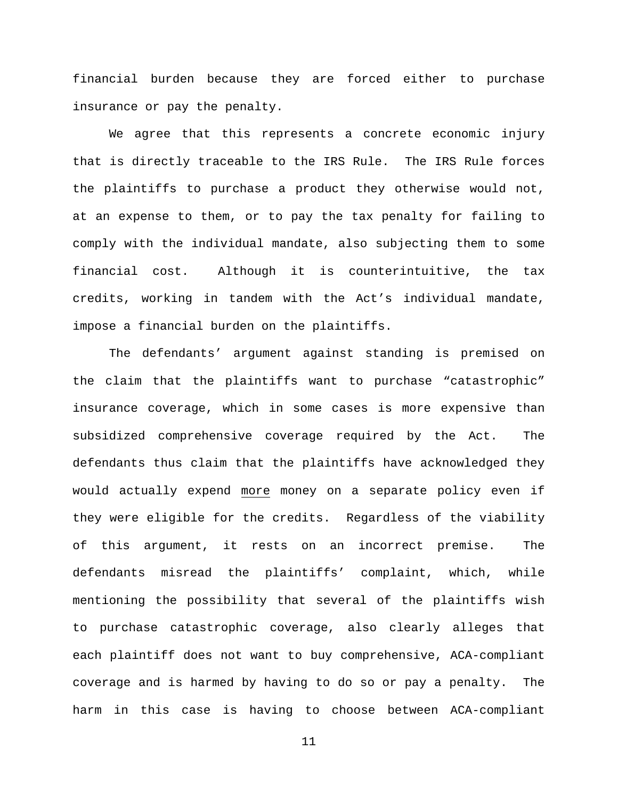financial burden because they are forced either to purchase insurance or pay the penalty.

We agree that this represents a concrete economic injury that is directly traceable to the IRS Rule. The IRS Rule forces the plaintiffs to purchase a product they otherwise would not, at an expense to them, or to pay the tax penalty for failing to comply with the individual mandate, also subjecting them to some financial cost. Although it is counterintuitive, the tax credits, working in tandem with the Act's individual mandate, impose a financial burden on the plaintiffs.

The defendants' argument against standing is premised on the claim that the plaintiffs want to purchase "catastrophic" insurance coverage, which in some cases is more expensive than subsidized comprehensive coverage required by the Act. The defendants thus claim that the plaintiffs have acknowledged they would actually expend more money on a separate policy even if they were eligible for the credits. Regardless of the viability of this argument, it rests on an incorrect premise. The defendants misread the plaintiffs' complaint, which, while mentioning the possibility that several of the plaintiffs wish to purchase catastrophic coverage, also clearly alleges that each plaintiff does not want to buy comprehensive, ACA-compliant coverage and is harmed by having to do so or pay a penalty. The harm in this case is having to choose between ACA-compliant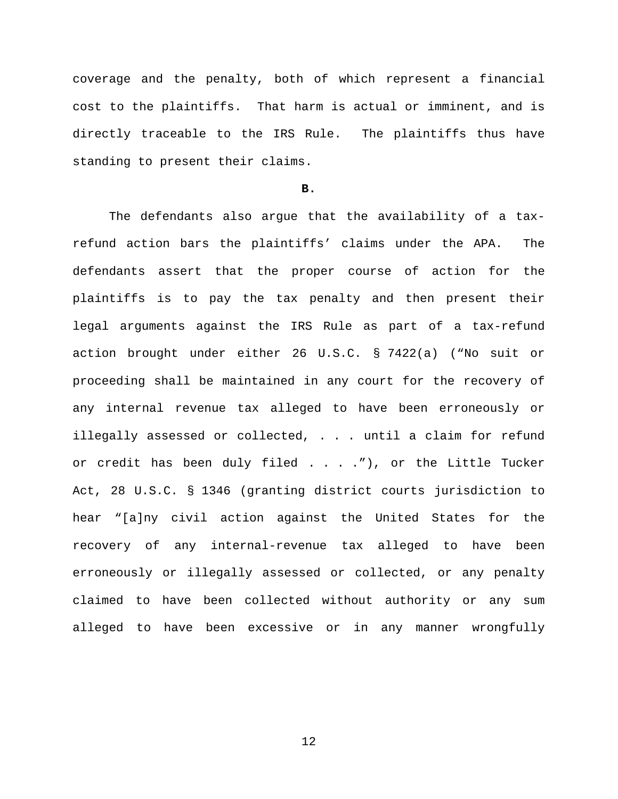coverage and the penalty, both of which represent a financial cost to the plaintiffs. That harm is actual or imminent, and is directly traceable to the IRS Rule. The plaintiffs thus have standing to present their claims.

### **B.**

The defendants also argue that the availability of a taxrefund action bars the plaintiffs' claims under the APA. The defendants assert that the proper course of action for the plaintiffs is to pay the tax penalty and then present their legal arguments against the IRS Rule as part of a tax-refund action brought under either 26 U.S.C. § 7422(a) ("No suit or proceeding shall be maintained in any court for the recovery of any internal revenue tax alleged to have been erroneously or illegally assessed or collected, . . . until a claim for refund or credit has been duly filed . . . . "), or the Little Tucker Act, 28 U.S.C. § 1346 (granting district courts jurisdiction to hear "[a]ny civil action against the United States for the recovery of any internal-revenue tax alleged to have been erroneously or illegally assessed or collected, or any penalty claimed to have been collected without authority or any sum alleged to have been excessive or in any manner wrongfully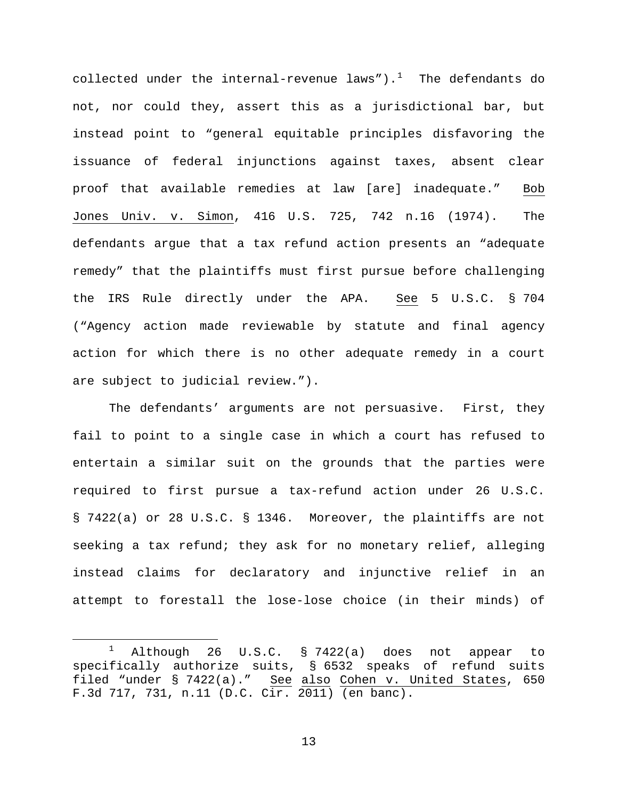collected under the internal-revenue laws"). $^1$  $^1$  The defendants do not, nor could they, assert this as a jurisdictional bar, but instead point to "general equitable principles disfavoring the issuance of federal injunctions against taxes, absent clear proof that available remedies at law [are] inadequate." Bob Jones Univ. v. Simon, 416 U.S. 725, 742 n.16 (1974). The defendants argue that a tax refund action presents an "adequate remedy" that the plaintiffs must first pursue before challenging the IRS Rule directly under the APA. See 5 U.S.C. § 704 ("Agency action made reviewable by statute and final agency action for which there is no other adequate remedy in a court are subject to judicial review.").

The defendants' arguments are not persuasive. First, they fail to point to a single case in which a court has refused to entertain a similar suit on the grounds that the parties were required to first pursue a tax-refund action under 26 U.S.C. § 7422(a) or 28 U.S.C. § 1346. Moreover, the plaintiffs are not seeking a tax refund; they ask for no monetary relief, alleging instead claims for declaratory and injunctive relief in an attempt to forestall the lose-lose choice (in their minds) of

<span id="page-12-0"></span><sup>&</sup>lt;sup>1</sup> Although 26 U.S.C. § 7422(a) does not appear to specifically authorize suits, § 6532 speaks of refund suits filed "under § 7422(a)." See also Cohen v. United States, 650 F.3d 717, 731, n.11 (D.C. Cir. 2011) (en banc).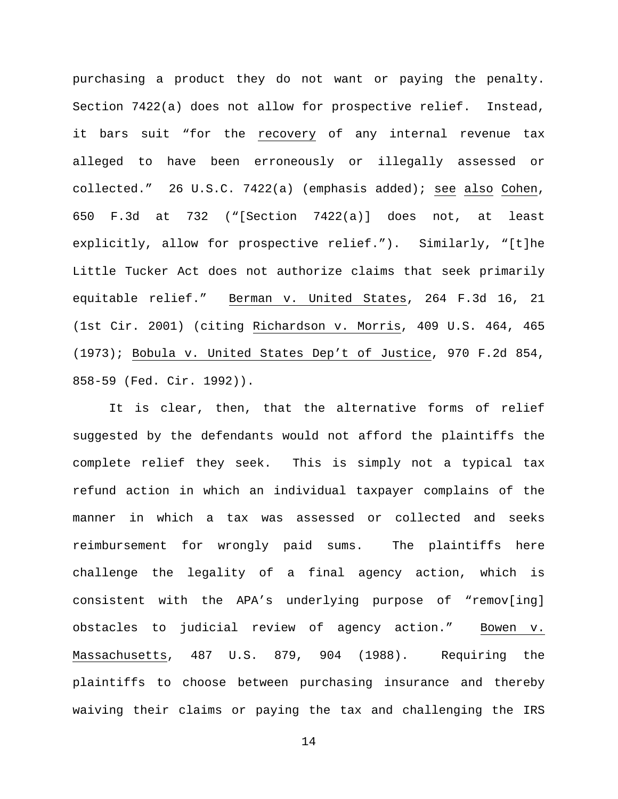purchasing a product they do not want or paying the penalty. Section 7422(a) does not allow for prospective relief. Instead, it bars suit "for the recovery of any internal revenue tax alleged to have been erroneously or illegally assessed or collected." 26 U.S.C. 7422(a) (emphasis added); see also Cohen, 650 F.3d at 732 ("[Section 7422(a)] does not, at least explicitly, allow for prospective relief."). Similarly, "[t]he Little Tucker Act does not authorize claims that seek primarily equitable relief." Berman v. United States, 264 F.3d 16, 21 (1st Cir. 2001) (citing Richardson v. Morris, 409 U.S. 464, 465 (1973); Bobula v. United States Dep't of Justice, 970 F.2d 854, 858-59 (Fed. Cir. 1992)).

It is clear, then, that the alternative forms of relief suggested by the defendants would not afford the plaintiffs the complete relief they seek. This is simply not a typical tax refund action in which an individual taxpayer complains of the manner in which a tax was assessed or collected and seeks reimbursement for wrongly paid sums. The plaintiffs here challenge the legality of a final agency action, which is consistent with the APA's underlying purpose of "remov[ing] obstacles to judicial review of agency action." Bowen v. Massachusetts, 487 U.S. 879, 904 (1988). Requiring the plaintiffs to choose between purchasing insurance and thereby waiving their claims or paying the tax and challenging the IRS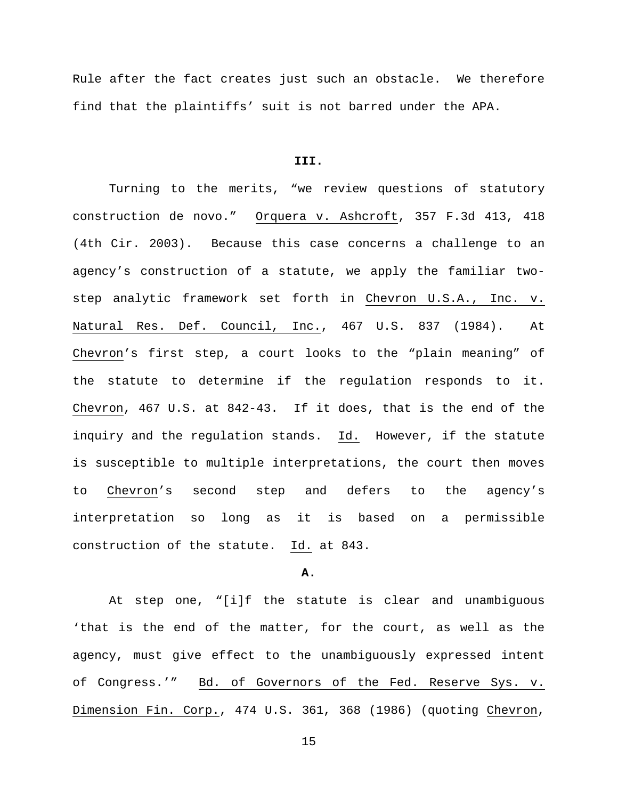Rule after the fact creates just such an obstacle. We therefore find that the plaintiffs' suit is not barred under the APA.

#### **III.**

Turning to the merits, "we review questions of statutory construction de novo." Orquera v. Ashcroft, 357 F.3d 413, 418 (4th Cir. 2003). Because this case concerns a challenge to an agency's construction of a statute, we apply the familiar twostep analytic framework set forth in Chevron U.S.A., Inc. v. Natural Res. Def. Council, Inc., 467 U.S. 837 (1984). At Chevron's first step, a court looks to the "plain meaning" of the statute to determine if the regulation responds to it. Chevron, 467 U.S. at 842-43. If it does, that is the end of the inquiry and the regulation stands. Id. However, if the statute is susceptible to multiple interpretations, the court then moves to Chevron's second step and defers to the agency's interpretation so long as it is based on a permissible construction of the statute. Id. at 843.

### **A.**

At step one, "[i]f the statute is clear and unambiguous 'that is the end of the matter, for the court, as well as the agency, must give effect to the unambiguously expressed intent of Congress.'" Bd. of Governors of the Fed. Reserve Sys. v. Dimension Fin. Corp., 474 U.S. 361, 368 (1986) (quoting Chevron,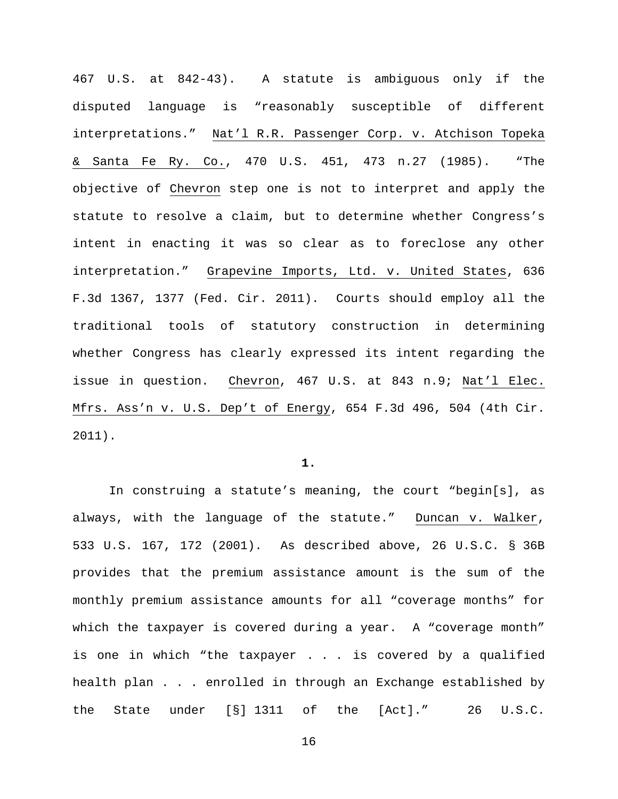467 U.S. at 842-43). A statute is ambiguous only if the disputed language is "reasonably susceptible of different interpretations." Nat'l R.R. Passenger Corp. v. Atchison Topeka & Santa Fe Ry. Co., 470 U.S. 451, 473 n.27 (1985). "The objective of Chevron step one is not to interpret and apply the statute to resolve a claim, but to determine whether Congress's intent in enacting it was so clear as to foreclose any other interpretation." Grapevine Imports, Ltd. v. United States, 636 F.3d 1367, 1377 (Fed. Cir. 2011). Courts should employ all the traditional tools of statutory construction in determining whether Congress has clearly expressed its intent regarding the issue in question. Chevron, 467 U.S. at 843 n.9; Nat'l Elec. Mfrs. Ass'n v. U.S. Dep't of Energy, 654 F.3d 496, 504 (4th Cir. 2011).

### **1.**

In construing a statute's meaning, the court "begin[s], as always, with the language of the statute." Duncan v. Walker, 533 U.S. 167, 172 (2001). As described above, 26 U.S.C. § 36B provides that the premium assistance amount is the sum of the monthly premium assistance amounts for all "coverage months" for which the taxpayer is covered during a year. A "coverage month" is one in which "the taxpayer . . . is covered by a qualified health plan . . . enrolled in through an Exchange established by the State under [§] 1311 of the [Act]." 26 U.S.C.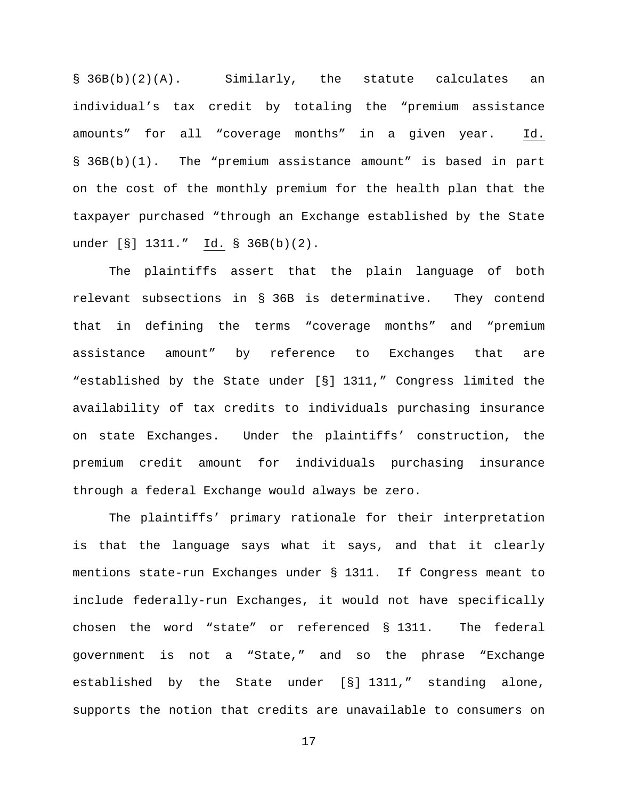§ 36B(b)(2)(A). Similarly, the statute calculates an individual's tax credit by totaling the "premium assistance amounts" for all "coverage months" in a given year. Id. § 36B(b)(1). The "premium assistance amount" is based in part on the cost of the monthly premium for the health plan that the taxpayer purchased "through an Exchange established by the State under [§] 1311." Id. § 36B(b)(2).

The plaintiffs assert that the plain language of both relevant subsections in § 36B is determinative. They contend that in defining the terms "coverage months" and "premium assistance amount" by reference to Exchanges that are "established by the State under [§] 1311," Congress limited the availability of tax credits to individuals purchasing insurance on state Exchanges. Under the plaintiffs' construction, the premium credit amount for individuals purchasing insurance through a federal Exchange would always be zero.

The plaintiffs' primary rationale for their interpretation is that the language says what it says, and that it clearly mentions state-run Exchanges under § 1311. If Congress meant to include federally-run Exchanges, it would not have specifically chosen the word "state" or referenced § 1311. The federal government is not a "State," and so the phrase "Exchange established by the State under [§] 1311," standing alone, supports the notion that credits are unavailable to consumers on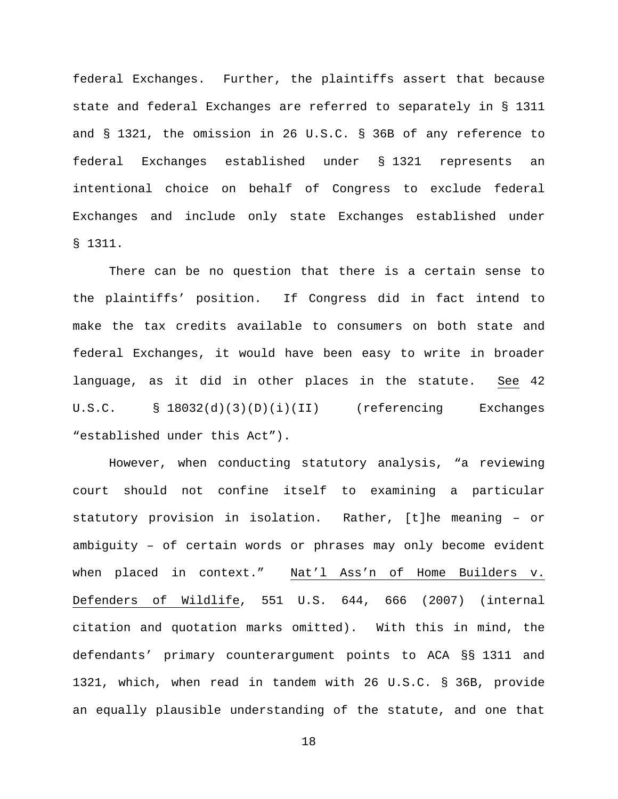federal Exchanges. Further, the plaintiffs assert that because state and federal Exchanges are referred to separately in § 1311 and § 1321, the omission in 26 U.S.C. § 36B of any reference to federal Exchanges established under § 1321 represents an intentional choice on behalf of Congress to exclude federal Exchanges and include only state Exchanges established under § 1311.

There can be no question that there is a certain sense to the plaintiffs' position. If Congress did in fact intend to make the tax credits available to consumers on both state and federal Exchanges, it would have been easy to write in broader language, as it did in other places in the statute. See 42 U.S.C. § 18032(d)(3)(D)(i)(II) (referencing Exchanges "established under this Act").

However, when conducting statutory analysis, "a reviewing court should not confine itself to examining a particular statutory provision in isolation. Rather, [t]he meaning – or ambiguity – of certain words or phrases may only become evident when placed in context." Nat'l Ass'n of Home Builders v. Defenders of Wildlife, 551 U.S. 644, 666 (2007) (internal citation and quotation marks omitted). With this in mind, the defendants' primary counterargument points to ACA §§ 1311 and 1321, which, when read in tandem with 26 U.S.C. § 36B, provide an equally plausible understanding of the statute, and one that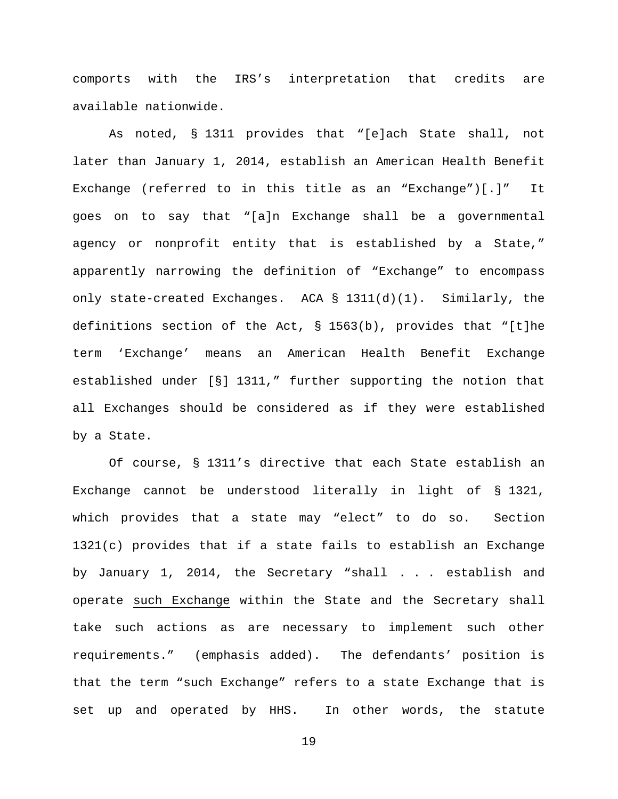comports with the IRS's interpretation that credits are available nationwide.

As noted, § 1311 provides that "[e]ach State shall, not later than January 1, 2014, establish an American Health Benefit Exchange (referred to in this title as an "Exchange")[.]" It goes on to say that "[a]n Exchange shall be a governmental agency or nonprofit entity that is established by a State," apparently narrowing the definition of "Exchange" to encompass only state-created Exchanges. ACA § 1311(d)(1). Similarly, the definitions section of the Act, § 1563(b), provides that "[t]he term 'Exchange' means an American Health Benefit Exchange established under [§] 1311," further supporting the notion that all Exchanges should be considered as if they were established by a State.

Of course, § 1311's directive that each State establish an Exchange cannot be understood literally in light of § 1321, which provides that a state may "elect" to do so. Section  $1321(c)$  provides that if a state fails to establish an Exchange by January 1, 2014, the Secretary "shall . . . establish and operate such Exchange within the State and the Secretary shall take such actions as are necessary to implement such other requirements." (emphasis added). The defendants' position is that the term "such Exchange" refers to a state Exchange that is set up and operated by HHS. In other words, the statute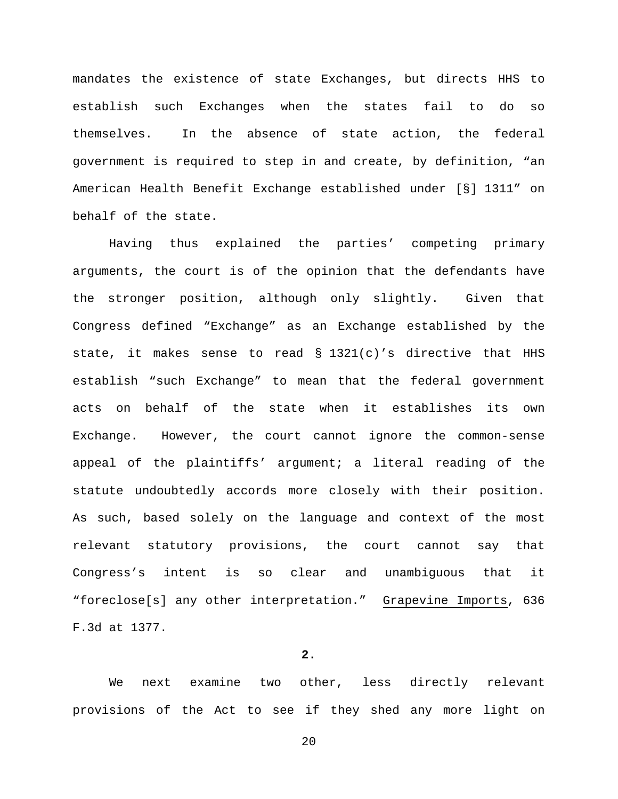mandates the existence of state Exchanges, but directs HHS to establish such Exchanges when the states fail to do so themselves. In the absence of state action, the federal government is required to step in and create, by definition, "an American Health Benefit Exchange established under [§] 1311" on behalf of the state.

Having thus explained the parties' competing primary arguments, the court is of the opinion that the defendants have the stronger position, although only slightly. Given that Congress defined "Exchange" as an Exchange established by the state, it makes sense to read  $\S$  1321(c)'s directive that HHS establish "such Exchange" to mean that the federal government acts on behalf of the state when it establishes its own Exchange. However, the court cannot ignore the common-sense appeal of the plaintiffs' argument; a literal reading of the statute undoubtedly accords more closely with their position. As such, based solely on the language and context of the most relevant statutory provisions, the court cannot say that Congress's intent is so clear and unambiguous that it "foreclose[s] any other interpretation." Grapevine Imports, 636 F.3d at 1377.

# **2.**

We next examine two other, less directly relevant provisions of the Act to see if they shed any more light on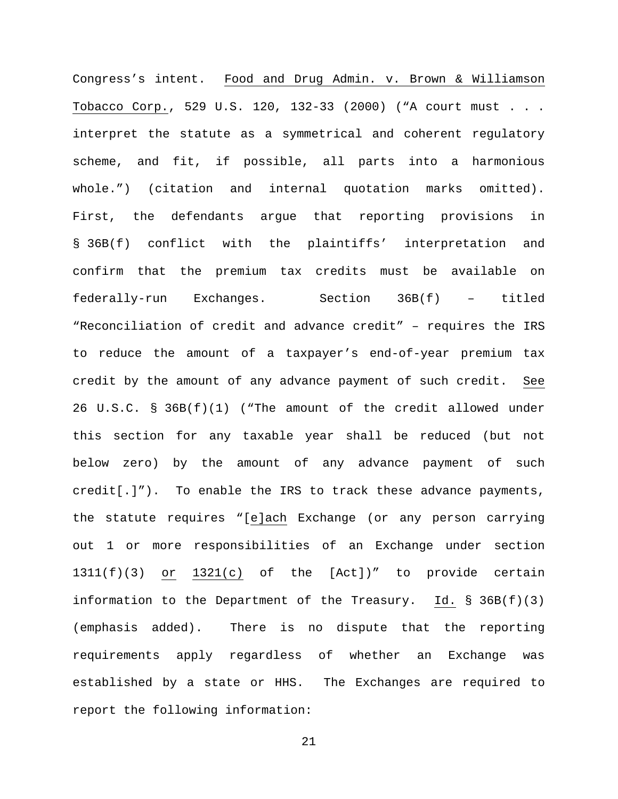Congress's intent. Food and Drug Admin. v. Brown & Williamson Tobacco Corp., 529 U.S. 120, 132-33 (2000) ("A court must . . . interpret the statute as a symmetrical and coherent regulatory scheme, and fit, if possible, all parts into a harmonious whole.") (citation and internal quotation marks omitted). First, the defendants argue that reporting provisions in § 36B(f) conflict with the plaintiffs' interpretation and confirm that the premium tax credits must be available on federally-run Exchanges. Section 36B(f) – titled "Reconciliation of credit and advance credit" – requires the IRS to reduce the amount of a taxpayer's end-of-year premium tax credit by the amount of any advance payment of such credit. See 26 U.S.C. § 36B(f)(1) ("The amount of the credit allowed under this section for any taxable year shall be reduced (but not below zero) by the amount of any advance payment of such credit[.]"). To enable the IRS to track these advance payments, the statute requires "[e]ach Exchange (or any person carrying out 1 or more responsibilities of an Exchange under section 1311(f)(3) or 1321(c) of the [Act])" to provide certain information to the Department of the Treasury. Id. § 36B(f)(3) (emphasis added). There is no dispute that the reporting requirements apply regardless of whether an Exchange was established by a state or HHS. The Exchanges are required to report the following information: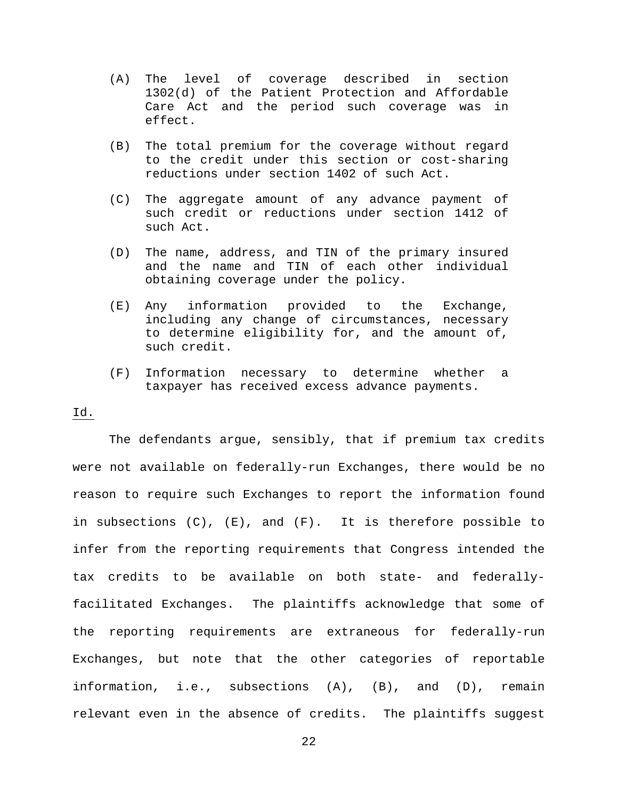- (A) The level of coverage described in section 1302(d) of the Patient Protection and Affordable Care Act and the period such coverage was in effect.
- (B) The total premium for the coverage without regard to the credit under this section or cost-sharing reductions under section 1402 of such Act.
- (C) The aggregate amount of any advance payment of such credit or reductions under section 1412 of such Act.
- (D) The name, address, and TIN of the primary insured and the name and TIN of each other individual obtaining coverage under the policy.
- (E) Any information provided to the Exchange, including any change of circumstances, necessary to determine eligibility for, and the amount of, such credit.
- (F) Information necessary to determine whether a taxpayer has received excess advance payments.

# Id.

The defendants argue, sensibly, that if premium tax credits were not available on federally-run Exchanges, there would be no reason to require such Exchanges to report the information found in subsections  $(C)$ ,  $(E)$ , and  $(F)$ . It is therefore possible to infer from the reporting requirements that Congress intended the tax credits to be available on both state- and federallyfacilitated Exchanges. The plaintiffs acknowledge that some of the reporting requirements are extraneous for federally-run Exchanges, but note that the other categories of reportable information, i.e., subsections (A), (B), and (D), remain relevant even in the absence of credits. The plaintiffs suggest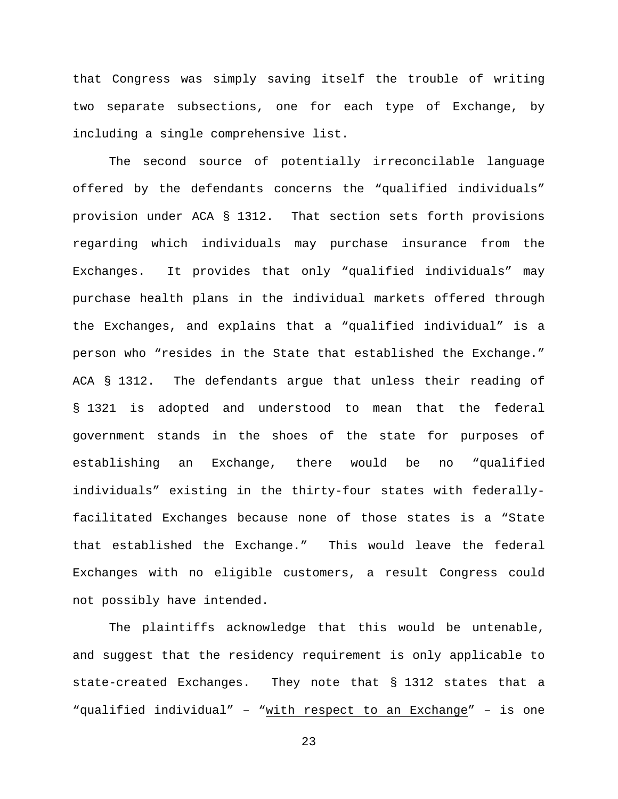that Congress was simply saving itself the trouble of writing two separate subsections, one for each type of Exchange, by including a single comprehensive list.

The second source of potentially irreconcilable language offered by the defendants concerns the "qualified individuals" provision under ACA § 1312. That section sets forth provisions regarding which individuals may purchase insurance from the Exchanges. It provides that only "qualified individuals" may purchase health plans in the individual markets offered through the Exchanges, and explains that a "qualified individual" is a person who "resides in the State that established the Exchange." ACA § 1312. The defendants argue that unless their reading of § 1321 is adopted and understood to mean that the federal government stands in the shoes of the state for purposes of establishing an Exchange, there would be no "qualified individuals" existing in the thirty-four states with federallyfacilitated Exchanges because none of those states is a "State that established the Exchange." This would leave the federal Exchanges with no eligible customers, a result Congress could not possibly have intended.

The plaintiffs acknowledge that this would be untenable, and suggest that the residency requirement is only applicable to state-created Exchanges. They note that § 1312 states that a "qualified individual" – "with respect to an Exchange" – is one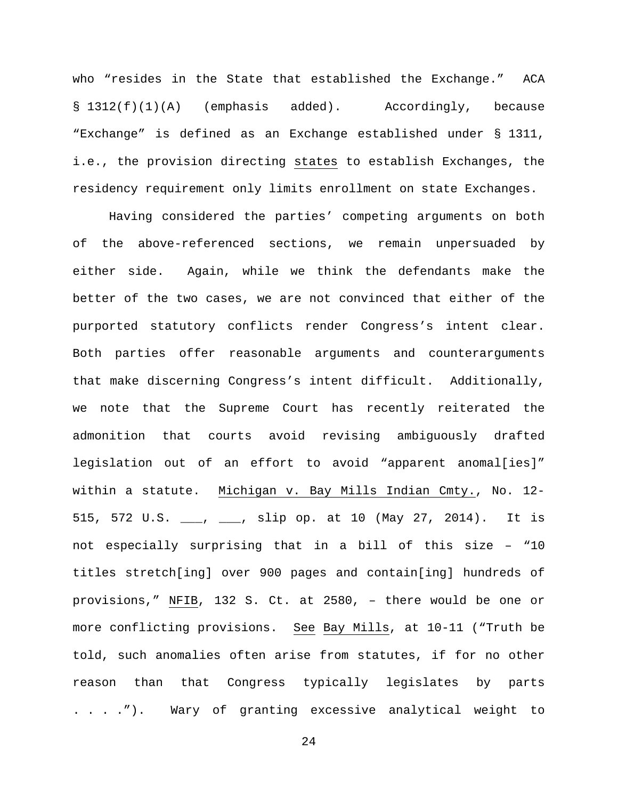who "resides in the State that established the Exchange." ACA § 1312(f)(1)(A) (emphasis added). Accordingly, because "Exchange" is defined as an Exchange established under § 1311, i.e., the provision directing states to establish Exchanges, the residency requirement only limits enrollment on state Exchanges.

Having considered the parties' competing arguments on both of the above-referenced sections, we remain unpersuaded by either side. Again, while we think the defendants make the better of the two cases, we are not convinced that either of the purported statutory conflicts render Congress's intent clear. Both parties offer reasonable arguments and counterarguments that make discerning Congress's intent difficult. Additionally, we note that the Supreme Court has recently reiterated the admonition that courts avoid revising ambiguously drafted legislation out of an effort to avoid "apparent anomal[ies]" within a statute. Michigan v. Bay Mills Indian Cmty., No. 12- 515, 572 U.S. \_\_\_, \_\_\_, slip op. at 10 (May 27, 2014). It is not especially surprising that in a bill of this size – "10 titles stretch[ing] over 900 pages and contain[ing] hundreds of provisions," NFIB, 132 S. Ct. at 2580, – there would be one or more conflicting provisions. See Bay Mills, at 10-11 ("Truth be told, such anomalies often arise from statutes, if for no other reason than that Congress typically legislates by parts . . . ."). Wary of granting excessive analytical weight to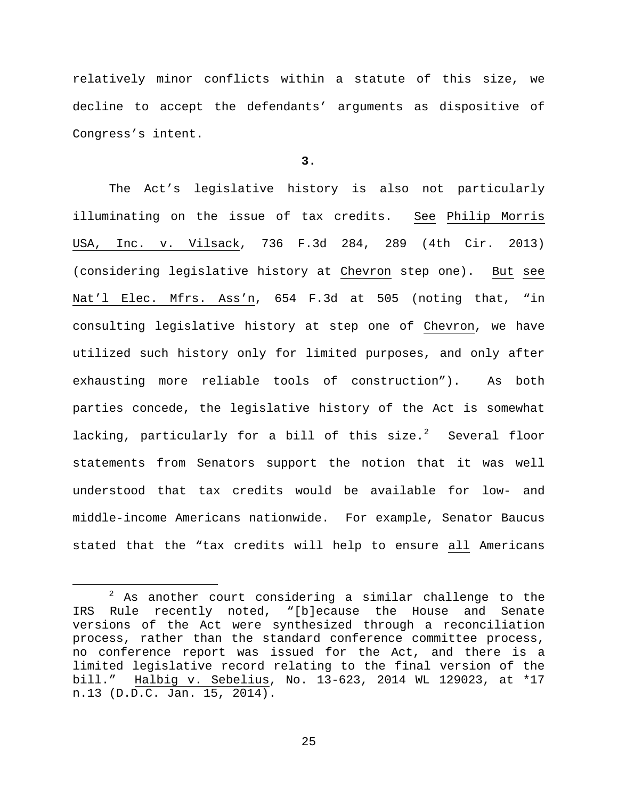relatively minor conflicts within a statute of this size, we decline to accept the defendants' arguments as dispositive of Congress's intent.

# **3.**

The Act's legislative history is also not particularly illuminating on the issue of tax credits. See Philip Morris USA, Inc. v. Vilsack, 736 F.3d 284, 289 (4th Cir. 2013) (considering legislative history at Chevron step one). But see Nat'l Elec. Mfrs. Ass'n, 654 F.3d at 505 (noting that, "in consulting legislative history at step one of Chevron, we have utilized such history only for limited purposes, and only after exhausting more reliable tools of construction"). As both parties concede, the legislative history of the Act is somewhat lacking, particularly for a bill of this  ${\sf size.}^2$  ${\sf size.}^2$  Several floor statements from Senators support the notion that it was well understood that tax credits would be available for low- and middle-income Americans nationwide. For example, Senator Baucus stated that the "tax credits will help to ensure all Americans

<span id="page-24-0"></span> $2$  As another court considering a similar challenge to the IRS Rule recently noted, "[b]ecause the House and Senate versions of the Act were synthesized through a reconciliation process, rather than the standard conference committee process, no conference report was issued for the Act, and there is a limited legislative record relating to the final version of the bill." Halbig v. Sebelius, No. 13-623, 2014 WL 129023, at \*17 n.13 (D.D.C. Jan. 15, 2014).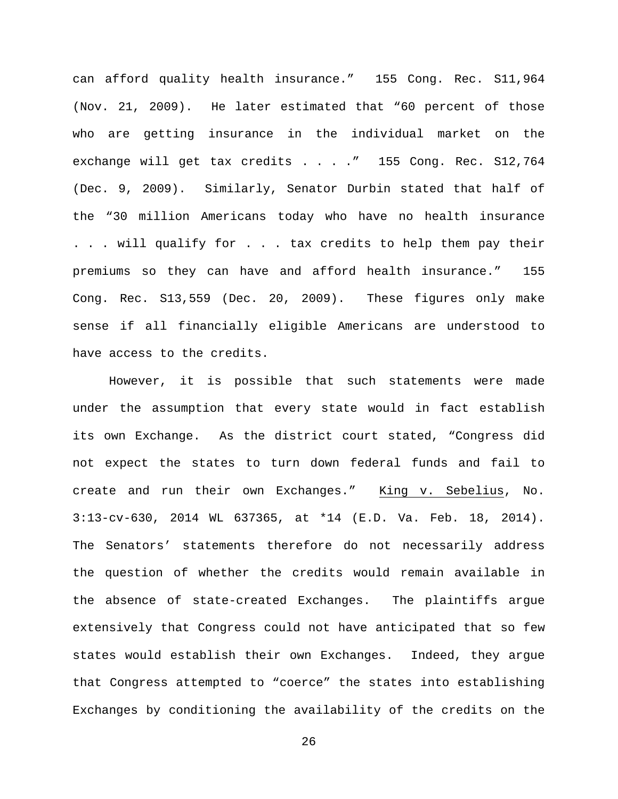can afford quality health insurance." 155 Cong. Rec. S11,964 (Nov. 21, 2009). He later estimated that "60 percent of those who are getting insurance in the individual market on the exchange will get tax credits . . . . " 155 Cong. Rec. S12,764 (Dec. 9, 2009). Similarly, Senator Durbin stated that half of the "30 million Americans today who have no health insurance . . . will qualify for . . . tax credits to help them pay their premiums so they can have and afford health insurance." 155 Cong. Rec. S13,559 (Dec. 20, 2009). These figures only make sense if all financially eligible Americans are understood to have access to the credits.

However, it is possible that such statements were made under the assumption that every state would in fact establish its own Exchange. As the district court stated, "Congress did not expect the states to turn down federal funds and fail to create and run their own Exchanges." King v. Sebelius, No. 3:13-cv-630, 2014 WL 637365, at \*14 (E.D. Va. Feb. 18, 2014). The Senators' statements therefore do not necessarily address the question of whether the credits would remain available in the absence of state-created Exchanges. The plaintiffs argue extensively that Congress could not have anticipated that so few states would establish their own Exchanges. Indeed, they argue that Congress attempted to "coerce" the states into establishing Exchanges by conditioning the availability of the credits on the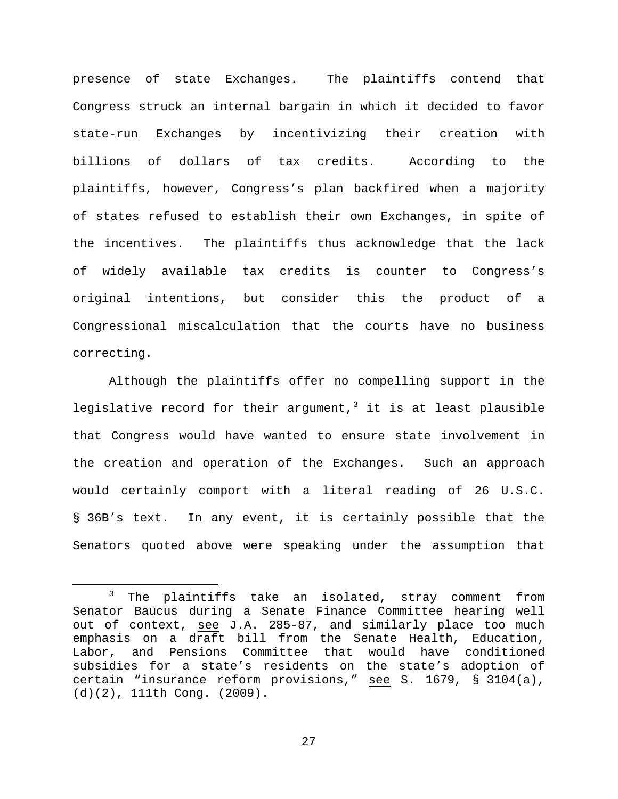presence of state Exchanges. The plaintiffs contend that Congress struck an internal bargain in which it decided to favor state-run Exchanges by incentivizing their creation with billions of dollars of tax credits. According to the plaintiffs, however, Congress's plan backfired when a majority of states refused to establish their own Exchanges, in spite of the incentives. The plaintiffs thus acknowledge that the lack of widely available tax credits is counter to Congress's original intentions, but consider this the product of a Congressional miscalculation that the courts have no business correcting.

Although the plaintiffs offer no compelling support in the legislative record for their argument,<sup>[3](#page-26-0)</sup> it is at least plausible that Congress would have wanted to ensure state involvement in the creation and operation of the Exchanges. Such an approach would certainly comport with a literal reading of 26 U.S.C. § 36B's text. In any event, it is certainly possible that the Senators quoted above were speaking under the assumption that

<span id="page-26-0"></span><sup>&</sup>lt;sup>3</sup> The plaintiffs take an isolated, stray comment from Senator Baucus during a Senate Finance Committee hearing well out of context, see J.A. 285-87, and similarly place too much emphasis on a draft bill from the Senate Health, Education, Labor, and Pensions Committee that would have conditioned subsidies for a state's residents on the state's adoption of certain "insurance reform provisions," see S. 1679, § 3104(a), (d)(2), 111th Cong. (2009).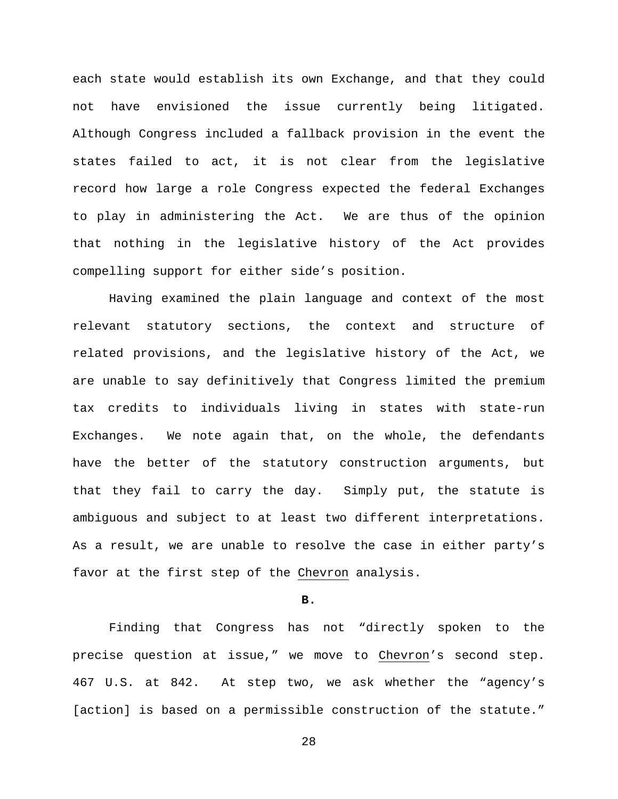each state would establish its own Exchange, and that they could not have envisioned the issue currently being litigated. Although Congress included a fallback provision in the event the states failed to act, it is not clear from the legislative record how large a role Congress expected the federal Exchanges to play in administering the Act. We are thus of the opinion that nothing in the legislative history of the Act provides compelling support for either side's position.

Having examined the plain language and context of the most relevant statutory sections, the context and structure of related provisions, and the legislative history of the Act, we are unable to say definitively that Congress limited the premium tax credits to individuals living in states with state-run Exchanges. We note again that, on the whole, the defendants have the better of the statutory construction arguments, but that they fail to carry the day. Simply put, the statute is ambiguous and subject to at least two different interpretations. As a result, we are unable to resolve the case in either party's favor at the first step of the Chevron analysis.

**B.**

Finding that Congress has not "directly spoken to the precise question at issue," we move to Chevron's second step. 467 U.S. at 842. At step two, we ask whether the "agency's [action] is based on a permissible construction of the statute."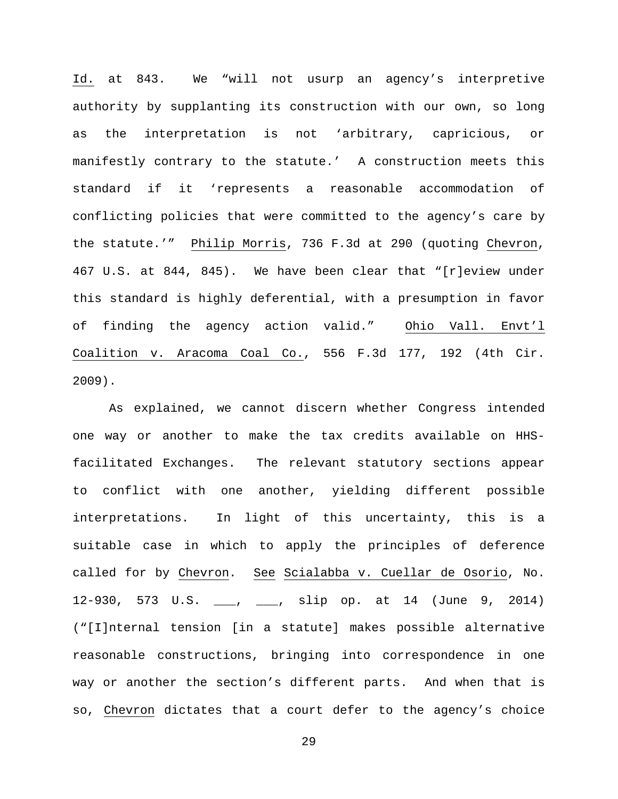Id. at 843. We "will not usurp an agency's interpretive authority by supplanting its construction with our own, so long as the interpretation is not 'arbitrary, capricious, or manifestly contrary to the statute.' A construction meets this standard if it 'represents a reasonable accommodation of conflicting policies that were committed to the agency's care by the statute.'" Philip Morris, 736 F.3d at 290 (quoting Chevron, 467 U.S. at 844, 845). We have been clear that "[r]eview under this standard is highly deferential, with a presumption in favor of finding the agency action valid." Ohio Vall. Envt'l Coalition v. Aracoma Coal Co., 556 F.3d 177, 192 (4th Cir. 2009).

As explained, we cannot discern whether Congress intended one way or another to make the tax credits available on HHSfacilitated Exchanges. The relevant statutory sections appear to conflict with one another, yielding different possible interpretations. In light of this uncertainty, this is a suitable case in which to apply the principles of deference called for by Chevron. See Scialabba v. Cuellar de Osorio, No. 12-930, 573 U.S. \_\_\_, \_\_\_, slip op. at 14 (June 9, 2014) ("[I]nternal tension [in a statute] makes possible alternative reasonable constructions, bringing into correspondence in one way or another the section's different parts. And when that is so, Chevron dictates that a court defer to the agency's choice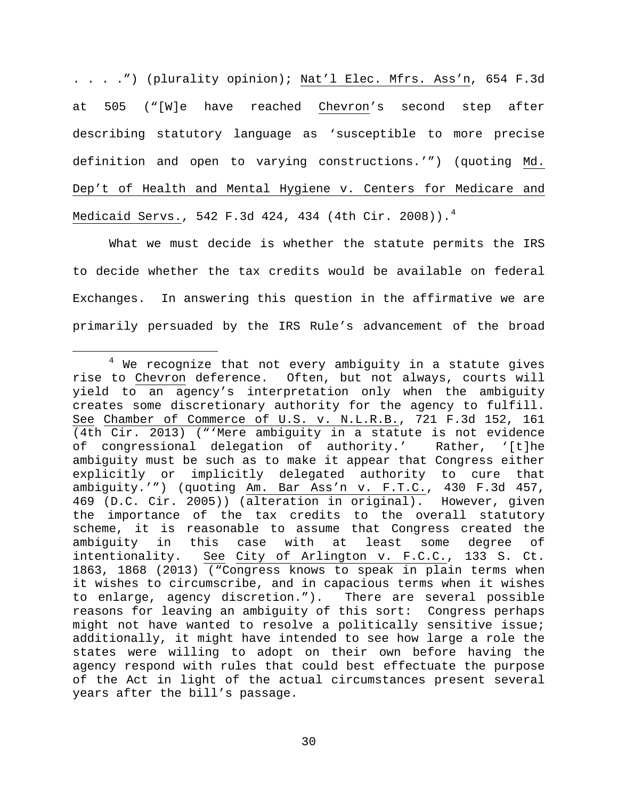. . . .") (plurality opinion); Nat'l Elec. Mfrs. Ass'n, 654 F.3d at 505 ("[W]e have reached Chevron's second step after describing statutory language as 'susceptible to more precise definition and open to varying constructions.'") (quoting Md. Dep't of Health and Mental Hygiene v. Centers for Medicare and Medicaid Servs., 5[4](#page-29-0)2 F.3d 424, 434 (4th Cir. 2008)).<sup>4</sup>

What we must decide is whether the statute permits the IRS to decide whether the tax credits would be available on federal Exchanges. In answering this question in the affirmative we are primarily persuaded by the IRS Rule's advancement of the broad

<span id="page-29-0"></span><sup>&</sup>lt;sup>4</sup> We recognize that not every ambiguity in a statute gives rise to Chevron deference. Often, but not always, courts will yield to an agency's interpretation only when the ambiguity creates some discretionary authority for the agency to fulfill. See Chamber of Commerce of U.S. v. N.L.R.B., 721 F.3d 152, 161 (4th Cir. 2013) ("'Mere ambiguity in a statute is not evidence of congressional delegation of authority.' Rather, '[t]he ambiguity must be such as to make it appear that Congress either explicitly or implicitly delegated authority to cure that ambiguity.'") (quoting Am. Bar Ass'n v. F.T.C., 430 F.3d 457, 469 (D.C. Cir. 2005)) (alteration in original). However, given the importance of the tax credits to the overall statutory scheme, it is reasonable to assume that Congress created the<br>ambiguity in this case with at least some degree of ambiguity in this case with at least some degree of<br>intentionality. See City of Arlington v. F.C.C., 133 S. Ct. See City of Arlington v. F.C.C., 133 S. Ct. 1863, 1868 (2013) ("Congress knows to speak in plain terms when it wishes to circumscribe, and in capacious terms when it wishes to enlarge, agency discretion."). There are several possible reasons for leaving an ambiguity of this sort: Congress perhaps might not have wanted to resolve a politically sensitive issue; additionally, it might have intended to see how large a role the states were willing to adopt on their own before having the agency respond with rules that could best effectuate the purpose of the Act in light of the actual circumstances present several years after the bill's passage.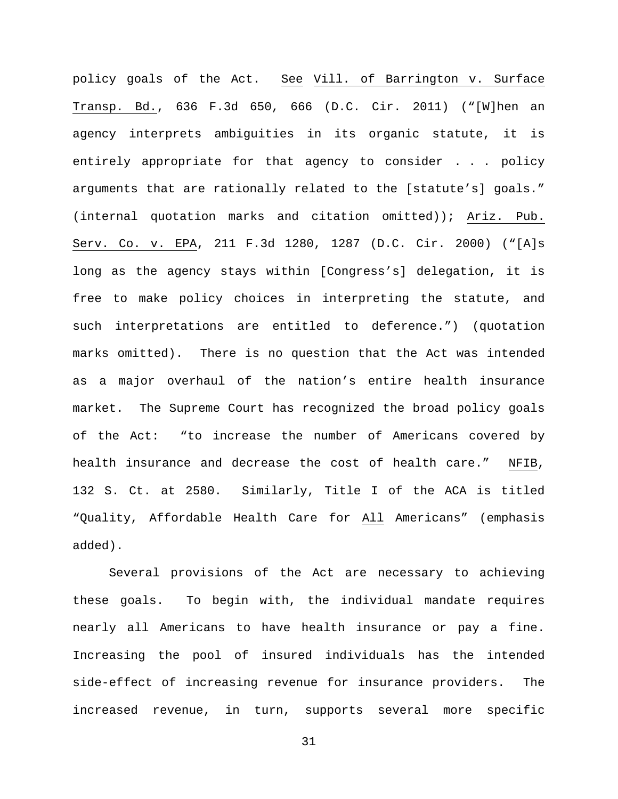policy goals of the Act. See Vill. of Barrington v. Surface Transp. Bd., 636 F.3d 650, 666 (D.C. Cir. 2011) ("[W]hen an agency interprets ambiguities in its organic statute, it is entirely appropriate for that agency to consider . . . policy arguments that are rationally related to the [statute's] goals." (internal quotation marks and citation omitted)); Ariz. Pub. Serv. Co. v. EPA, 211 F.3d 1280, 1287 (D.C. Cir. 2000) ("[A]s long as the agency stays within [Congress's] delegation, it is free to make policy choices in interpreting the statute, and such interpretations are entitled to deference.") (quotation marks omitted). There is no question that the Act was intended as a major overhaul of the nation's entire health insurance market. The Supreme Court has recognized the broad policy goals of the Act: "to increase the number of Americans covered by health insurance and decrease the cost of health care." NFIB, 132 S. Ct. at 2580. Similarly, Title I of the ACA is titled "Quality, Affordable Health Care for All Americans" (emphasis added).

Several provisions of the Act are necessary to achieving these goals. To begin with, the individual mandate requires nearly all Americans to have health insurance or pay a fine. Increasing the pool of insured individuals has the intended side-effect of increasing revenue for insurance providers. The increased revenue, in turn, supports several more specific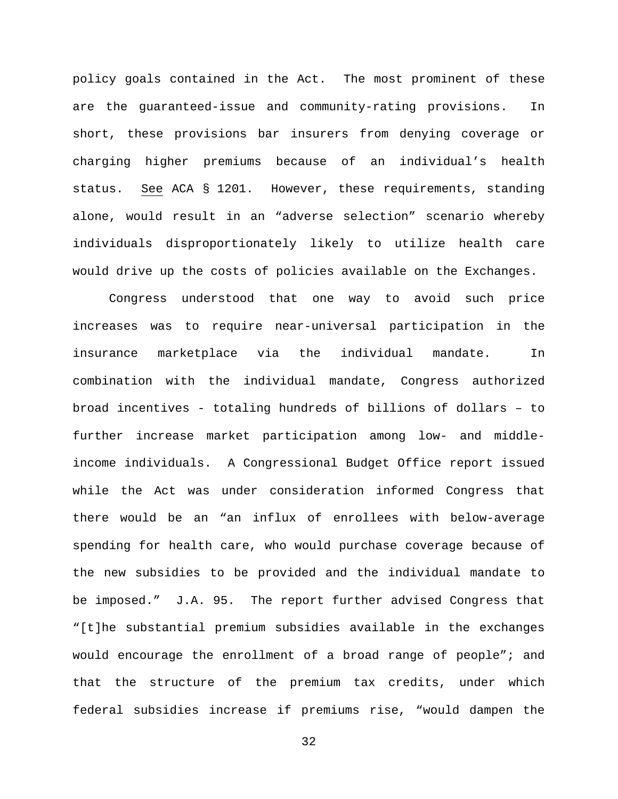policy goals contained in the Act. The most prominent of these are the guaranteed-issue and community-rating provisions. In short, these provisions bar insurers from denying coverage or charging higher premiums because of an individual's health status. See ACA § 1201. However, these requirements, standing alone, would result in an "adverse selection" scenario whereby individuals disproportionately likely to utilize health care would drive up the costs of policies available on the Exchanges.

Congress understood that one way to avoid such price increases was to require near-universal participation in the insurance marketplace via the individual mandate. In combination with the individual mandate, Congress authorized broad incentives - totaling hundreds of billions of dollars – to further increase market participation among low- and middleincome individuals. A Congressional Budget Office report issued while the Act was under consideration informed Congress that there would be an "an influx of enrollees with below-average spending for health care, who would purchase coverage because of the new subsidies to be provided and the individual mandate to be imposed." J.A. 95. The report further advised Congress that "[t]he substantial premium subsidies available in the exchanges would encourage the enrollment of a broad range of people"; and that the structure of the premium tax credits, under which federal subsidies increase if premiums rise, "would dampen the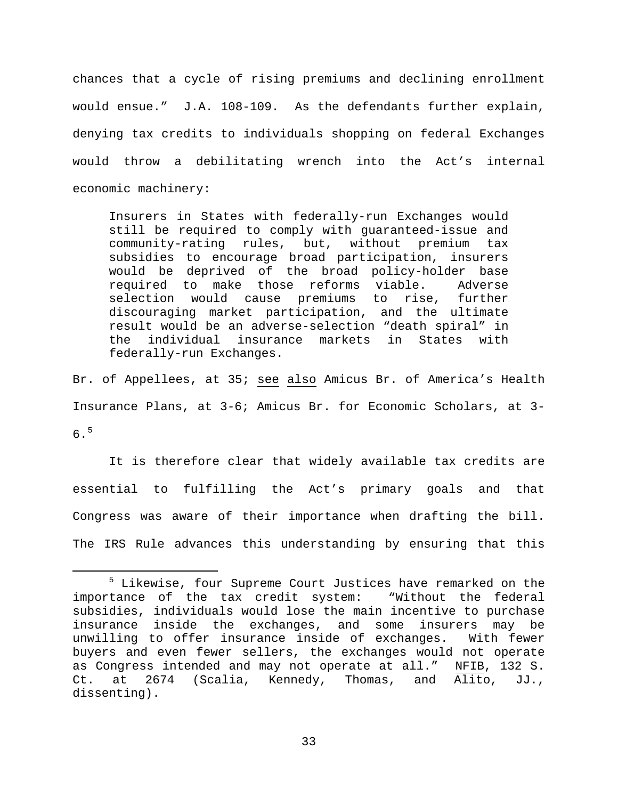chances that a cycle of rising premiums and declining enrollment would ensue." J.A. 108-109. As the defendants further explain, denying tax credits to individuals shopping on federal Exchanges would throw a debilitating wrench into the Act's internal economic machinery:

Insurers in States with federally-run Exchanges would still be required to comply with guaranteed-issue and<br>community-rating rules, but, without premium tax community-rating rules, but, without subsidies to encourage broad participation, insurers would be deprived of the broad policy-holder base required to make those reforms viable. Adverse selection would cause premiums to rise, further discouraging market participation, and the ultimate result would be an adverse-selection "death spiral" in the individual insurance markets in States with federally-run Exchanges.

Br. of Appellees, at 35; see also Amicus Br. of America's Health Insurance Plans, at 3-6; Amicus Br. for Economic Scholars, at 3- 6.[5](#page-32-0)

It is therefore clear that widely available tax credits are essential to fulfilling the Act's primary goals and that Congress was aware of their importance when drafting the bill. The IRS Rule advances this understanding by ensuring that this

<span id="page-32-0"></span><sup>&</sup>lt;sup>5</sup> Likewise, four Supreme Court Justices have remarked on the importance of the tax credit system: "Without the federal subsidies, individuals would lose the main incentive to purchase insurance inside the exchanges, and some insurers may be unwilling to offer insurance inside of exchanges. With fewer buyers and even fewer sellers, the exchanges would not operate as Congress intended and may not operate at all." NFIB, 132 S. Ct. at 2674 (Scalia, Kennedy, Thomas, and Alito, JJ., dissenting).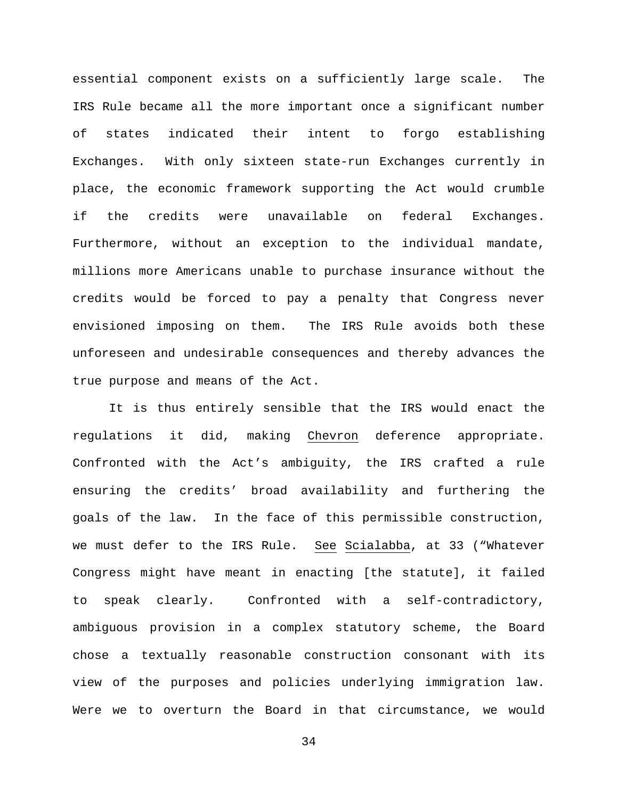essential component exists on a sufficiently large scale. The IRS Rule became all the more important once a significant number of states indicated their intent to forgo establishing Exchanges. With only sixteen state-run Exchanges currently in place, the economic framework supporting the Act would crumble if the credits were unavailable on federal Exchanges. Furthermore, without an exception to the individual mandate, millions more Americans unable to purchase insurance without the credits would be forced to pay a penalty that Congress never envisioned imposing on them. The IRS Rule avoids both these unforeseen and undesirable consequences and thereby advances the true purpose and means of the Act.

It is thus entirely sensible that the IRS would enact the regulations it did, making Chevron deference appropriate. Confronted with the Act's ambiguity, the IRS crafted a rule ensuring the credits' broad availability and furthering the goals of the law. In the face of this permissible construction, we must defer to the IRS Rule. See Scialabba, at 33 ("Whatever Congress might have meant in enacting [the statute], it failed to speak clearly. Confronted with a self-contradictory, ambiguous provision in a complex statutory scheme, the Board chose a textually reasonable construction consonant with its view of the purposes and policies underlying immigration law. Were we to overturn the Board in that circumstance, we would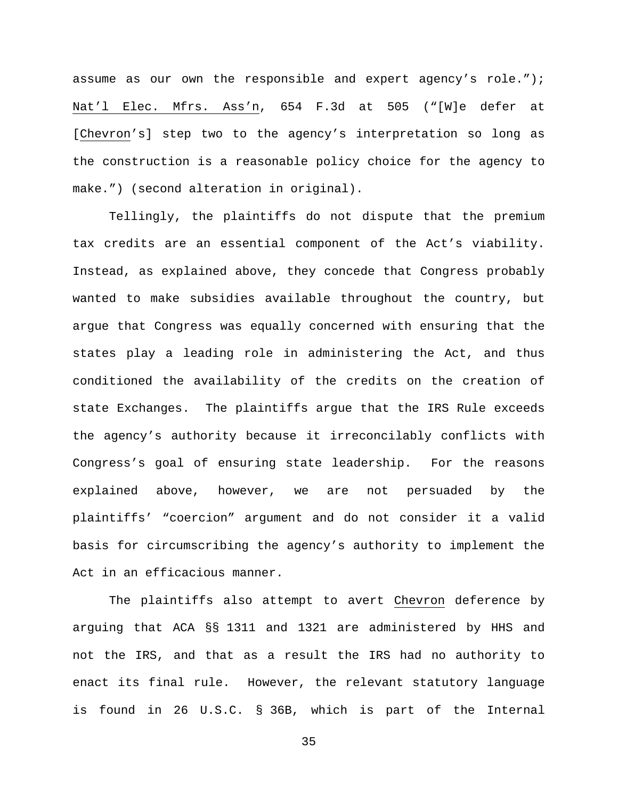assume as our own the responsible and expert agency's role."); Nat'l Elec. Mfrs. Ass'n, 654 F.3d at 505 ("[W]e defer at [Chevron's] step two to the agency's interpretation so long as the construction is a reasonable policy choice for the agency to make.") (second alteration in original).

Tellingly, the plaintiffs do not dispute that the premium tax credits are an essential component of the Act's viability. Instead, as explained above, they concede that Congress probably wanted to make subsidies available throughout the country, but argue that Congress was equally concerned with ensuring that the states play a leading role in administering the Act, and thus conditioned the availability of the credits on the creation of state Exchanges. The plaintiffs argue that the IRS Rule exceeds the agency's authority because it irreconcilably conflicts with Congress's goal of ensuring state leadership. For the reasons explained above, however, we are not persuaded by the plaintiffs' "coercion" argument and do not consider it a valid basis for circumscribing the agency's authority to implement the Act in an efficacious manner.

The plaintiffs also attempt to avert Chevron deference by arguing that ACA §§ 1311 and 1321 are administered by HHS and not the IRS, and that as a result the IRS had no authority to enact its final rule. However, the relevant statutory language is found in 26 U.S.C. § 36B, which is part of the Internal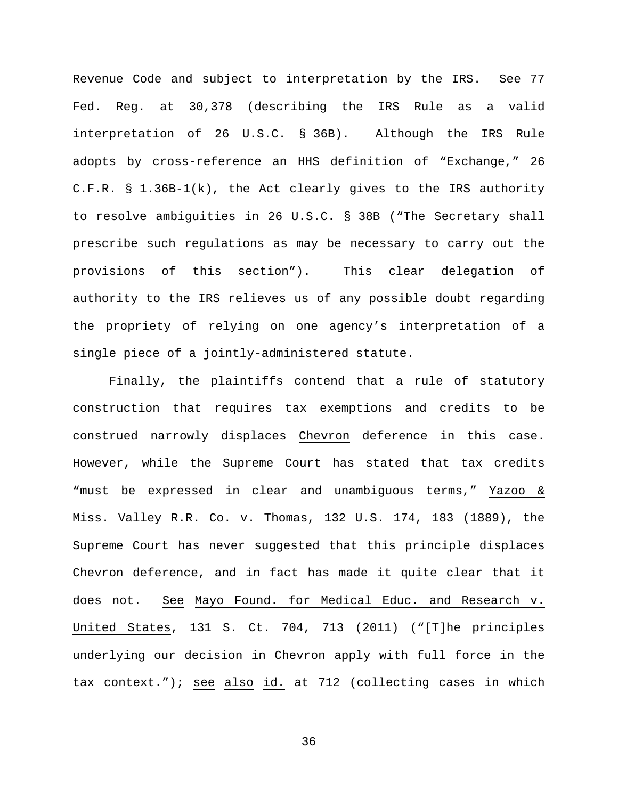Revenue Code and subject to interpretation by the IRS. See 77 Fed. Reg. at 30,378 (describing the IRS Rule as a valid interpretation of 26 U.S.C. § 36B). Although the IRS Rule adopts by cross-reference an HHS definition of "Exchange," 26 C.F.R. § 1.36B-1(k), the Act clearly gives to the IRS authority to resolve ambiguities in 26 U.S.C. § 38B ("The Secretary shall prescribe such regulations as may be necessary to carry out the provisions of this section"). This clear delegation of authority to the IRS relieves us of any possible doubt regarding the propriety of relying on one agency's interpretation of a single piece of a jointly-administered statute.

Finally, the plaintiffs contend that a rule of statutory construction that requires tax exemptions and credits to be construed narrowly displaces Chevron deference in this case. However, while the Supreme Court has stated that tax credits "must be expressed in clear and unambiguous terms," Yazoo & Miss. Valley R.R. Co. v. Thomas, 132 U.S. 174, 183 (1889), the Supreme Court has never suggested that this principle displaces Chevron deference, and in fact has made it quite clear that it does not. See Mayo Found. for Medical Educ. and Research v. United States, 131 S. Ct. 704, 713 (2011) ("[T]he principles underlying our decision in Chevron apply with full force in the tax context."); see also id. at 712 (collecting cases in which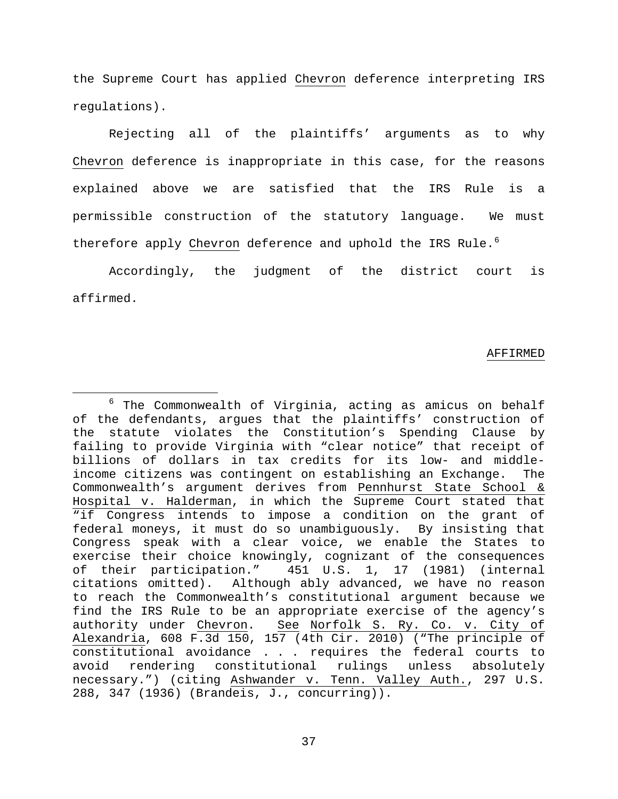the Supreme Court has applied Chevron deference interpreting IRS regulations).

Rejecting all of the plaintiffs' arguments as to why Chevron deference is inappropriate in this case, for the reasons explained above we are satisfied that the IRS Rule is a permissible construction of the statutory language. We must therefore apply Chevron deference and uphold the IRS Rule.<sup>[6](#page-36-0)</sup>

Accordingly, the judgment of the district court is affirmed.

#### AFFIRMED

<span id="page-36-0"></span> $6$  The Commonwealth of Virginia, acting as amicus on behalf of the defendants, argues that the plaintiffs' construction of the statute violates the Constitution's Spending Clause by failing to provide Virginia with "clear notice" that receipt of billions of dollars in tax credits for its low- and middleincome citizens was contingent on establishing an Exchange. The Commonwealth's argument derives from Pennhurst State School & Hospital v. Halderman, in which the Supreme Court stated that "if Congress intends to impose a condition on the grant of federal moneys, it must do so unambiguously. By insisting that Congress speak with a clear voice, we enable the States to exercise their choice knowingly, cognizant of the consequences<br>of their participation." 451 U.S. 1, 17 (1981) (internal 451 U.S. 1, 17 (1981) (internal citations omitted). Although ably advanced, we have no reason to reach the Commonwealth's constitutional argument because we find the IRS Rule to be an appropriate exercise of the agency's authority under Chevron. See Norfolk S. Ry. Co. v. City of Alexandria, 608 F.3d 150, 157 (4th Cir. 2010) ("The principle of constitutional avoidance . . . requires the federal courts to constitutional rulings unless absolutely necessary.") (citing Ashwander v. Tenn. Valley Auth., 297 U.S. 288, 347 (1936) (Brandeis, J., concurring)).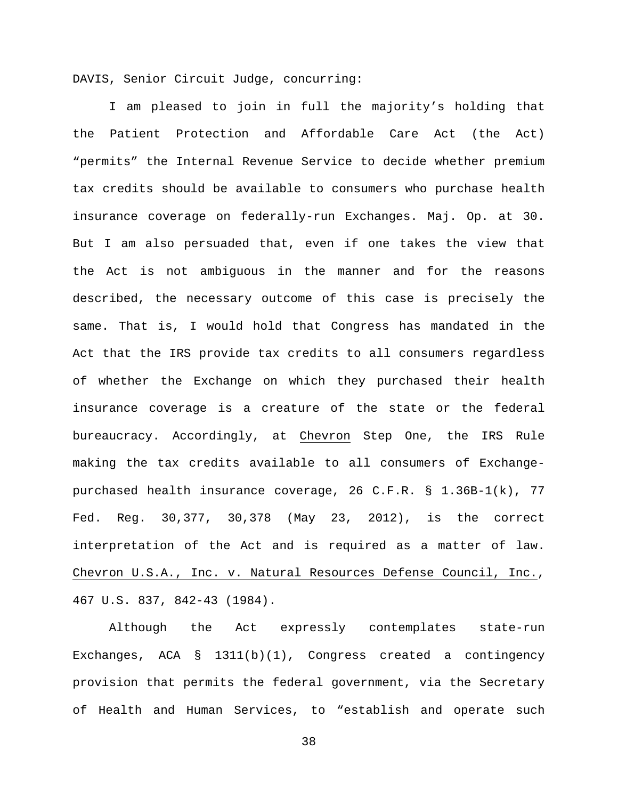DAVIS, Senior Circuit Judge, concurring:

I am pleased to join in full the majority's holding that the Patient Protection and Affordable Care Act (the Act) "permits" the Internal Revenue Service to decide whether premium tax credits should be available to consumers who purchase health insurance coverage on federally-run Exchanges. Maj. Op. at 30. But I am also persuaded that, even if one takes the view that the Act is not ambiguous in the manner and for the reasons described, the necessary outcome of this case is precisely the same. That is, I would hold that Congress has mandated in the Act that the IRS provide tax credits to all consumers regardless of whether the Exchange on which they purchased their health insurance coverage is a creature of the state or the federal bureaucracy. Accordingly, at Chevron Step One, the IRS Rule making the tax credits available to all consumers of Exchangepurchased health insurance coverage, 26 C.F.R. § 1.36B-1(k), 77 Fed. Reg. 30,377, 30,378 (May 23, 2012), is the correct interpretation of the Act and is required as a matter of law. Chevron U.S.A., Inc. v. Natural Resources Defense Council, Inc., 467 U.S. 837, 842-43 (1984).

Although the Act expressly contemplates state-run Exchanges, ACA § 1311(b)(1), Congress created a contingency provision that permits the federal government, via the Secretary of Health and Human Services, to "establish and operate such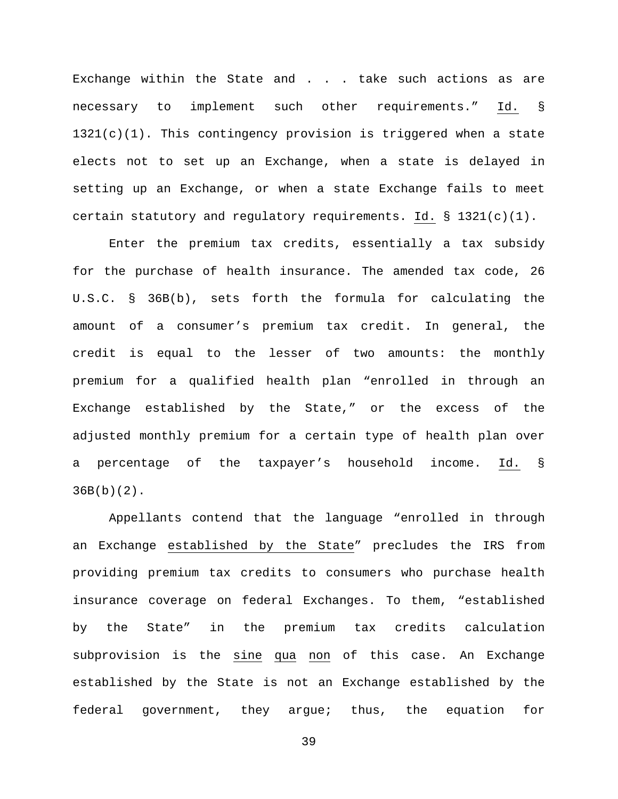Exchange within the State and . . . take such actions as are necessary to implement such other requirements." Id. § 1321(c)(1). This contingency provision is triggered when a state elects not to set up an Exchange, when a state is delayed in setting up an Exchange, or when a state Exchange fails to meet certain statutory and regulatory requirements. Id. § 1321(c)(1).

Enter the premium tax credits, essentially a tax subsidy for the purchase of health insurance. The amended tax code, 26 U.S.C. § 36B(b), sets forth the formula for calculating the amount of a consumer's premium tax credit. In general, the credit is equal to the lesser of two amounts: the monthly premium for a qualified health plan "enrolled in through an Exchange established by the State," or the excess of the adjusted monthly premium for a certain type of health plan over a percentage of the taxpayer's household income. Id. § 36B(b)(2).

Appellants contend that the language "enrolled in through an Exchange established by the State" precludes the IRS from providing premium tax credits to consumers who purchase health insurance coverage on federal Exchanges. To them, "established by the State" in the premium tax credits calculation subprovision is the sine qua non of this case. An Exchange established by the State is not an Exchange established by the federal government, they argue; thus, the equation for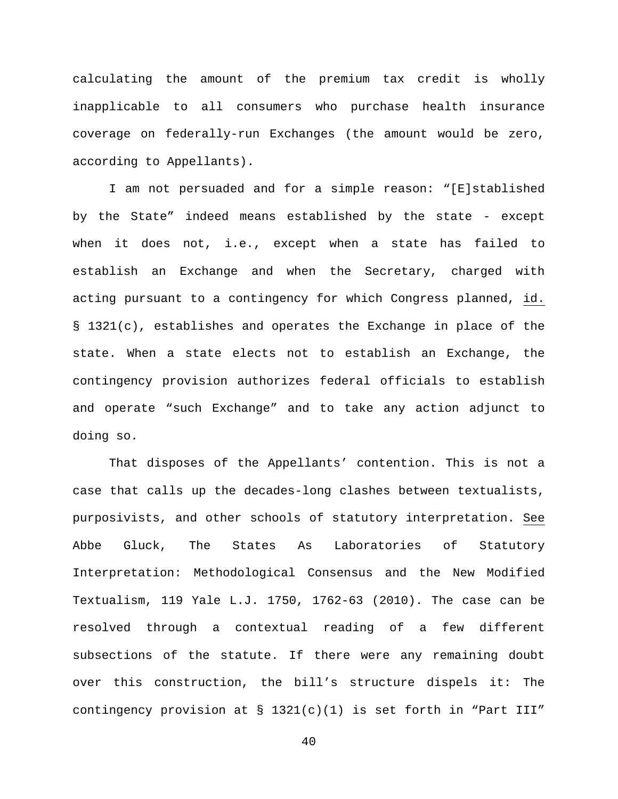calculating the amount of the premium tax credit is wholly inapplicable to all consumers who purchase health insurance coverage on federally-run Exchanges (the amount would be zero, according to Appellants).

I am not persuaded and for a simple reason: "[E]stablished by the State" indeed means established by the state - except when it does not, i.e., except when a state has failed to establish an Exchange and when the Secretary, charged with acting pursuant to a contingency for which Congress planned, id. § 1321(c), establishes and operates the Exchange in place of the state. When a state elects not to establish an Exchange, the contingency provision authorizes federal officials to establish and operate "such Exchange" and to take any action adjunct to doing so.

That disposes of the Appellants' contention. This is not a case that calls up the decades-long clashes between textualists, purposivists, and other schools of statutory interpretation. See Abbe Gluck, The States As Laboratories of Statutory Interpretation: Methodological Consensus and the New Modified Textualism, 119 Yale L.J. 1750, 1762-63 (2010). The case can be resolved through a contextual reading of a few different subsections of the statute. If there were any remaining doubt over this construction, the bill's structure dispels it: The contingency provision at § 1321(c)(1) is set forth in "Part III"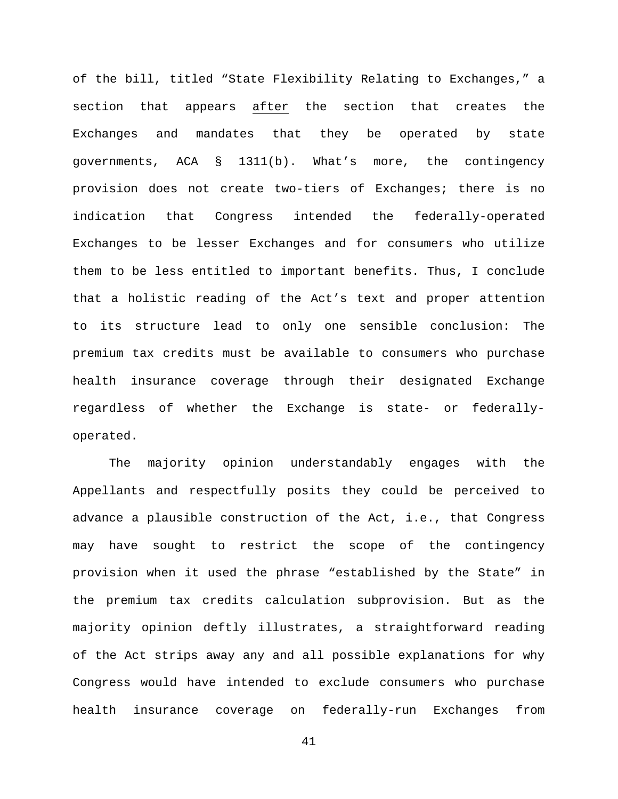of the bill, titled "State Flexibility Relating to Exchanges," a section that appears after the section that creates the Exchanges and mandates that they be operated by state governments, ACA § 1311(b). What's more, the contingency provision does not create two-tiers of Exchanges; there is no indication that Congress intended the federally-operated Exchanges to be lesser Exchanges and for consumers who utilize them to be less entitled to important benefits. Thus, I conclude that a holistic reading of the Act's text and proper attention to its structure lead to only one sensible conclusion: The premium tax credits must be available to consumers who purchase health insurance coverage through their designated Exchange regardless of whether the Exchange is state- or federallyoperated.

The majority opinion understandably engages with the Appellants and respectfully posits they could be perceived to advance a plausible construction of the Act, i.e., that Congress may have sought to restrict the scope of the contingency provision when it used the phrase "established by the State" in the premium tax credits calculation subprovision. But as the majority opinion deftly illustrates, a straightforward reading of the Act strips away any and all possible explanations for why Congress would have intended to exclude consumers who purchase health insurance coverage on federally-run Exchanges from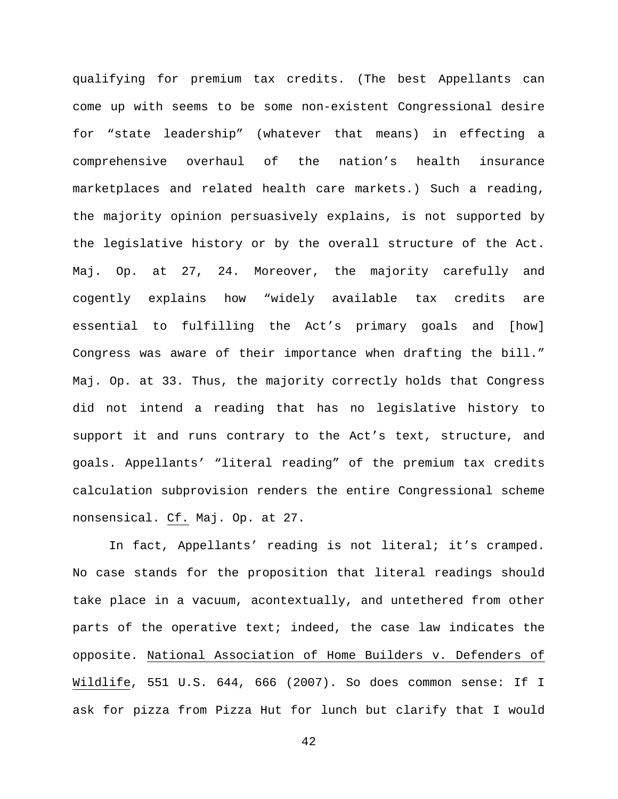qualifying for premium tax credits. (The best Appellants can come up with seems to be some non-existent Congressional desire for "state leadership" (whatever that means) in effecting a comprehensive overhaul of the nation's health insurance marketplaces and related health care markets.) Such a reading, the majority opinion persuasively explains, is not supported by the legislative history or by the overall structure of the Act. Maj. Op. at 27, 24. Moreover, the majority carefully and cogently explains how "widely available tax credits are essential to fulfilling the Act's primary goals and [how] Congress was aware of their importance when drafting the bill." Maj. Op. at 33. Thus, the majority correctly holds that Congress did not intend a reading that has no legislative history to support it and runs contrary to the Act's text, structure, and goals. Appellants' "literal reading" of the premium tax credits calculation subprovision renders the entire Congressional scheme nonsensical. Cf. Maj. Op. at 27.

In fact, Appellants' reading is not literal; it's cramped. No case stands for the proposition that literal readings should take place in a vacuum, acontextually, and untethered from other parts of the operative text; indeed, the case law indicates the opposite. National Association of Home Builders v. Defenders of Wildlife, 551 U.S. 644, 666 (2007). So does common sense: If I ask for pizza from Pizza Hut for lunch but clarify that I would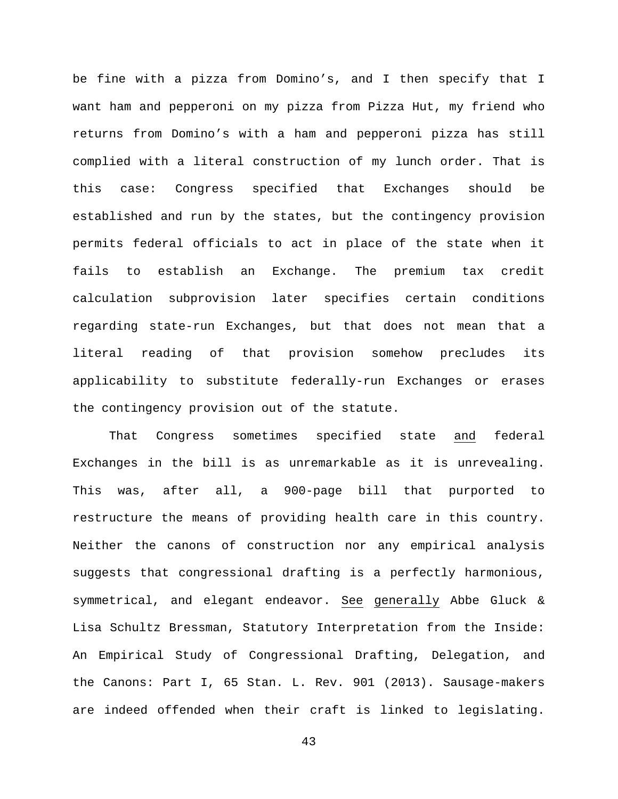be fine with a pizza from Domino's, and I then specify that I want ham and pepperoni on my pizza from Pizza Hut, my friend who returns from Domino's with a ham and pepperoni pizza has still complied with a literal construction of my lunch order. That is this case: Congress specified that Exchanges should be established and run by the states, but the contingency provision permits federal officials to act in place of the state when it fails to establish an Exchange. The premium tax credit calculation subprovision later specifies certain conditions regarding state-run Exchanges, but that does not mean that a literal reading of that provision somehow precludes its applicability to substitute federally-run Exchanges or erases the contingency provision out of the statute.

That Congress sometimes specified state and federal Exchanges in the bill is as unremarkable as it is unrevealing. This was, after all, a 900-page bill that purported to restructure the means of providing health care in this country. Neither the canons of construction nor any empirical analysis suggests that congressional drafting is a perfectly harmonious, symmetrical, and elegant endeavor. See generally Abbe Gluck & Lisa Schultz Bressman, Statutory Interpretation from the Inside: An Empirical Study of Congressional Drafting, Delegation, and the Canons: Part I, 65 Stan. L. Rev. 901 (2013). Sausage-makers are indeed offended when their craft is linked to legislating.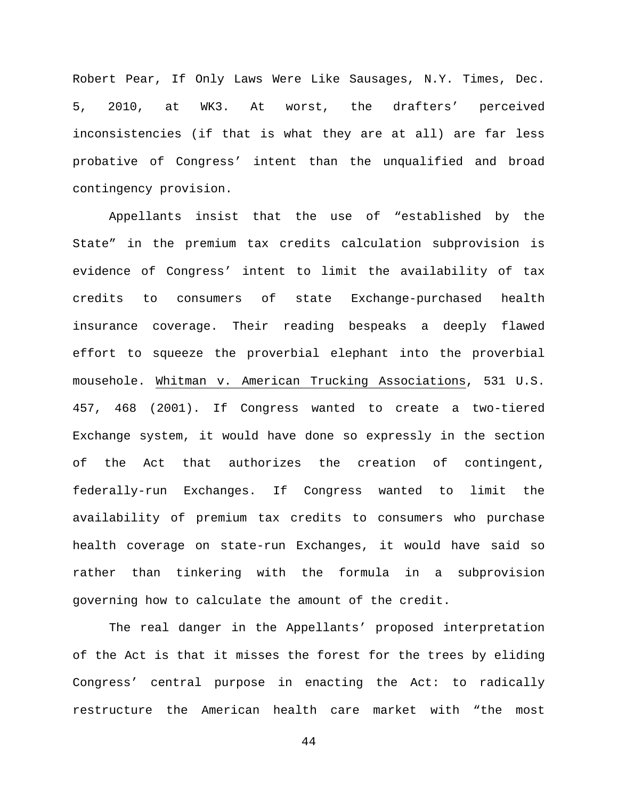Robert Pear, If Only Laws Were Like Sausages, N.Y. Times, Dec. 5, 2010, at WK3. At worst, the drafters' perceived inconsistencies (if that is what they are at all) are far less probative of Congress' intent than the unqualified and broad contingency provision.

Appellants insist that the use of "established by the State" in the premium tax credits calculation subprovision is evidence of Congress' intent to limit the availability of tax credits to consumers of state Exchange-purchased health insurance coverage. Their reading bespeaks a deeply flawed effort to squeeze the proverbial elephant into the proverbial mousehole. Whitman v. American Trucking Associations, 531 U.S. 457, 468 (2001). If Congress wanted to create a two-tiered Exchange system, it would have done so expressly in the section of the Act that authorizes the creation of contingent, federally-run Exchanges. If Congress wanted to limit the availability of premium tax credits to consumers who purchase health coverage on state-run Exchanges, it would have said so rather than tinkering with the formula in a subprovision governing how to calculate the amount of the credit.

The real danger in the Appellants' proposed interpretation of the Act is that it misses the forest for the trees by eliding Congress' central purpose in enacting the Act: to radically restructure the American health care market with "the most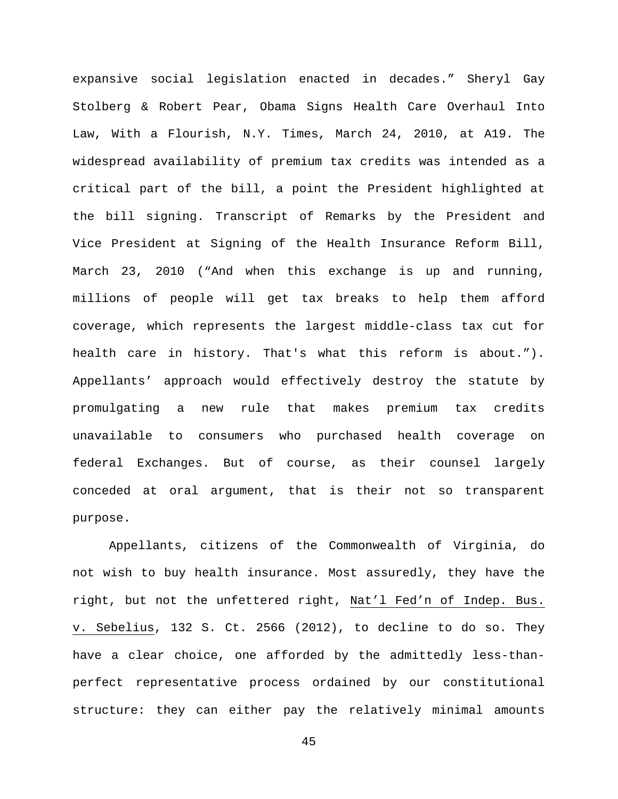expansive social legislation enacted in decades." Sheryl Gay Stolberg & Robert Pear, Obama Signs Health Care Overhaul Into Law, With a Flourish, N.Y. Times, March 24, 2010, at A19. The widespread availability of premium tax credits was intended as a critical part of the bill, a point the President highlighted at the bill signing. Transcript of Remarks by the President and Vice President at Signing of the Health Insurance Reform Bill, March 23, 2010 ("And when this exchange is up and running, millions of people will get tax breaks to help them afford coverage, which represents the largest middle-class tax cut for health care in history. That's what this reform is about."). Appellants' approach would effectively destroy the statute by promulgating a new rule that makes premium tax credits unavailable to consumers who purchased health coverage on federal Exchanges. But of course, as their counsel largely conceded at oral argument, that is their not so transparent purpose.

Appellants, citizens of the Commonwealth of Virginia, do not wish to buy health insurance. Most assuredly, they have the right, but not the unfettered right, Nat'l Fed'n of Indep. Bus. v. Sebelius, 132 S. Ct. 2566 (2012), to decline to do so. They have a clear choice, one afforded by the admittedly less-thanperfect representative process ordained by our constitutional structure: they can either pay the relatively minimal amounts